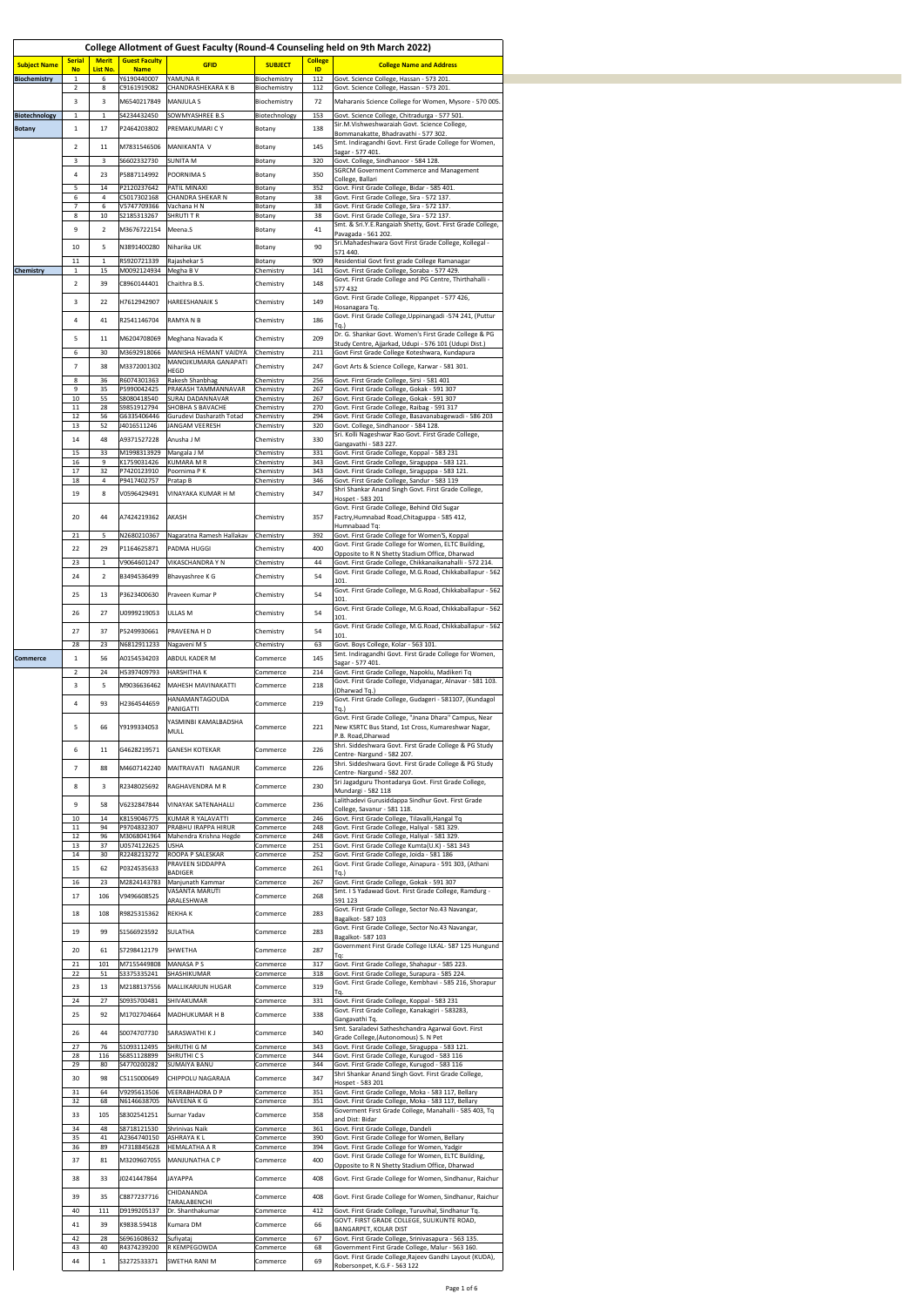|                                       |                            |                             |                                        |                                                       |                              |                      | College Allotment of Guest Faculty (Round-4 Counseling held on 9th March 2022)                                     |
|---------------------------------------|----------------------------|-----------------------------|----------------------------------------|-------------------------------------------------------|------------------------------|----------------------|--------------------------------------------------------------------------------------------------------------------|
| <b>Subject Name</b>                   | <b>Serial</b><br><b>No</b> | <b>Merit</b><br>List No.    | <b>Guest Faculty</b><br><b>Name</b>    | <b>GFID</b>                                           | <b>SUBJECT</b>               | <b>College</b><br>ID | <b>College Name and Address</b>                                                                                    |
| <b>Biochemistry</b>                   | $\overline{2}$             |                             | Y6190440007<br>C9161919082             | YAMUNA R<br>CHANDRASHEKARA K B                        | Biochemistry<br>Biochemistry | 112<br>112           | Govt. Science College, Hassan - 573 201.<br>Govt. Science College, Hassan - 573 201.                               |
|                                       | -3                         |                             | M6540217849 MANJULA S                  |                                                       | Biochemistry                 | 72                   | Maharanis Science College for Women, Mysore - 570 005.                                                             |
| <b>Biotechnology</b><br><b>Botany</b> |                            | 17                          | S4234432450<br>P2464203802             | SOWMYASHREE B.S<br><b>PREMAKUMARICY</b>               | Biotechnology<br>Botany      | 153<br>138           | Govt. Science College, Chitradurga - 577 501.<br>Sir.M.Vishweshwaraiah Govt. Science College,                      |
|                                       | -2                         | 11                          |                                        | M7831546506 MANIKANTA V                               | Botany                       | 145                  | Bommanakatte, Bhadravathi - 577 302.<br>Smt. Indiragandhi Govt. First Grade College for Women,<br>Sagar - 577 401. |
|                                       | -3                         |                             | S6602332730                            | <b>SUNITA M</b>                                       | Botany                       | 320                  | Govt. College, Sindhanoor - 584 128.<br><b>SGRCM Government Commerce and Management</b>                            |
|                                       | -4                         | 23<br>14                    | P5887114992<br>P2120237642             | POORNIMA S<br><b>PATIL MINAXI</b>                     | <b>Botany</b><br>Botany      | 350<br>352           | College, Ballari<br>Govt. First Grade College, Bidar - 585 401.                                                    |
|                                       | -6                         |                             | C5017302168<br>/5747709366             | <b>CHANDRA SHEKAR N</b><br>Vachana H N                | Botany<br><b>Botany</b>      | 38<br>38             | Govt. First Grade College, Sira - 572 137.<br>Govt. First Grade College, Sira - 572 137.                           |
|                                       | 8                          | 10                          | S2185313267                            | SHRUTI T R                                            | <b>Botany</b>                | 38                   | Govt. First Grade College, Sira - 572 137.<br>Smt. & Sri.Y.E.Rangaiah Shetty, Govt. First Grade College,           |
|                                       | -9                         |                             | M3676722154 Meena.S                    |                                                       | <b>Botany</b>                | 41                   | Pavagada - 561 202.<br>Sri. Mahadeshwara Govt First Grade College, Kollegal -                                      |
|                                       | 10<br>11                   |                             | N3891400280<br>R5920721339             | Niharika UK<br>Rajashekar S                           | Botany<br>Botany             | 90<br>909            | 571 440.<br>Residential Govt first grade College Ramanagar                                                         |
| <b>Chemistry</b>                      |                            | 15                          | M0092124934                            | Megha B V                                             | Chemistry                    | 141                  | Govt. First Grade College, Soraba - 577 429.<br>Govt. First Grade College and PG Centre, Thirthahalli -            |
|                                       | -2                         | 39                          | C8960144401                            | Chaithra B.S.                                         | Chemistry                    | 148                  | 577 432<br>Govt. First Grade College, Rippanpet - 577 426,                                                         |
|                                       | -3                         | 22                          | H7612942907                            | <b>HAREESHANAIK S</b>                                 | Chemistry                    | 149                  | Hosanagara Tq.<br>Govt. First Grade College, Uppinangadi -574 241, (Puttur                                         |
|                                       |                            | 41                          | R2541146704 RAMYA N B                  |                                                       | Chemistry                    | 186                  | Tq.<br>Dr. G. Shankar Govt. Women's First Grade College & PG                                                       |
|                                       | -5                         | 11<br>30                    | M3692918066                            | M6204708069 Meghana Navada K<br>MANISHA HEMANT VAIDYA | Chemistry<br>Chemistry       | 209<br>211           | Study Centre, Ajjarkad, Udupi - 576 101 (Udupi Dist.)<br>Govt First Grade College Koteshwara, Kundapura            |
|                                       | $\overline{7}$             | 38                          | M3372001302                            | MANOJKUMARA GANAPATI<br><b>HEGD</b>                   | Chemistry                    | 247                  | Govt Arts & Science College, Karwar - 581 301.                                                                     |
|                                       | 8<br>9                     | 36<br>35                    | R6074301363<br>P5990042425             | Rakesh Shanbhag<br><b>PRAKASH TAMMANNAVAR</b>         | Chemistry<br>Chemistry       | 256<br>267           | Govt. First Grade College, Sirsi - 581 401<br>Govt. First Grade College, Gokak - 591 307                           |
|                                       | 10<br>11                   | 55<br>28                    | S8080418540<br>S9851912794             | <b>SURAJ DADANNAVAR</b><br>SHOBHA S BAVACHE           | Chemistry<br>Chemistry       | 267<br>270           | Govt. First Grade College, Gokak - 591 307<br>Govt. First Grade College, Raibag - 591 317                          |
|                                       | 12<br>13                   | 56<br>52                    | G6335406446<br>J4016511246             | Gurudevi Dasharath Totad<br>JANGAM VEERESH            | Chemistry<br>Chemistry       | 294<br>320           | Govt. First Grade College, Basavanabagewadi - 586 203<br>Govt. College, Sindhanoor - 584 128.                      |
|                                       | 14                         | 48                          | A9371527228 Anusha J M                 |                                                       | Chemistry                    | 330                  | Sri. Kolli Nageshwar Rao Govt. First Grade College,<br>Gangavathi - 583 227.                                       |
|                                       | 15                         | 33                          | M1998313929 Mangala J M<br>K1759031426 | <b>KUMARA M R</b>                                     | Chemistry<br>Chemistry       | 331<br>343           | Govt. First Grade College, Koppal - 583 231                                                                        |
|                                       | 16<br>17                   | 32                          | P7420123910                            | Poornima P K                                          | Chemistry                    | 343                  | Govt. First Grade College, Siraguppa - 583 121.<br>Govt. First Grade College, Siraguppa - 583 121.                 |
|                                       | 18<br>19                   |                             | P9417402757<br>V0596429491             | Pratap B<br>VINAYAKA KUMAR H M                        | Chemistry<br>Chemistry       | 346<br>347           | Govt. First Grade College, Sandur - 583 119<br>Shri Shankar Anand Singh Govt. First Grade College,                 |
|                                       |                            |                             |                                        |                                                       |                              |                      | Hospet - 583 201<br>Govt. First Grade College, Behind Old Sugar                                                    |
|                                       | 20                         | 44                          | A7424219362                            | AKASH                                                 | Chemistry                    | 357                  | Factry, Humnabad Road, Chitaguppa - 585 412,<br>Humnabaad Tq:                                                      |
|                                       | 21<br>22                   | 29                          | N2680210367<br>P1164625871             | Nagaratna Ramesh Hallakav<br><b>PADMA HUGGI</b>       | Chemistry<br>Chemistry       | 392<br>400           | Govt. First Grade College for Women'S, Koppal<br>Govt. First Grade College for Women, ELTC Building,               |
|                                       | 23                         |                             | V9064601247                            | <b>VIKASCHANDRA Y N</b>                               | Chemistry                    | -44                  | Opposite to R N Shetty Stadium Office, Dharwad<br>Govt. First Grade College, Chikkanaikanahalli - 572 214.         |
|                                       | 24                         |                             | B3494536499                            | Bhavyashree K G                                       | Chemistry                    | 54                   | Govt. First Grade College, M.G.Road, Chikkaballapur - 562<br>101                                                   |
|                                       | 25                         | 13                          | P3623400630                            | Praveen Kumar P                                       | Chemistry                    | 54                   | Govt. First Grade College, M.G.Road, Chikkaballapur - 562<br> 101.                                                 |
|                                       | 26                         |                             | U0999219053 ULLAS M                    |                                                       | Chemistry                    | 54                   | Govt. First Grade College, M.G.Road, Chikkaballapur - 562<br> 101.                                                 |
|                                       | 27                         | 37                          | P5249930661                            | <b>PRAVEENA H D</b>                                   | Chemistry                    | 54                   | Govt. First Grade College, M.G.Road, Chikkaballapur - 562<br>101.                                                  |
| <b>Commerce</b>                       | 28                         | -23<br>56                   | V6812911233<br>A0154534203             | Nagaveni M S<br><b>ABDUL KADER M</b>                  | Chemistry<br>Commerce        | 63<br>145            | Govt. Boys College, Kolar - 563 101.<br>Smt. Indiragandhi Govt. First Grade College for Women,                     |
|                                       | $\overline{2}$             | 24                          | H5397409793                            | <b>HARSHITHAK</b>                                     | Commerce                     | 214                  | Sagar - 577 401.<br>Govt. First Grade College, Napoklu, Madikeri Tq                                                |
|                                       | -3                         |                             |                                        | M9036636462 MAHESH MAVINAKATTI                        | Commerce                     | 218                  | Govt. First Grade College, Vidyanagar, Alnavar - 581 103.<br>(Dharwad Tq.)                                         |
|                                       |                            | 93                          | 12364544659                            | HANAMANTAGOUDA<br>PANIGATTI                           | <b>Commerce</b>              | 219                  | Govt. First Grade College, Gudageri - 581107, (Kundagol                                                            |
|                                       |                            | 66                          | Y9199334053                            | YASMINBI KAMALBADSHA<br><b>MULL</b>                   | Commerce                     | 221                  | Govt. First Grade College, "Jnana Dhara" Campus, Near<br>New KSRTC Bus Stand, 1st Cross, Kumareshwar Nagar,        |
|                                       |                            | $\mathbf{1}$                | G4628219571                            | <b>GANESH KOTEKAR</b>                                 | Commerce                     | 226                  | P.B. Road, Dharwad<br>Shri. Siddeshwara Govt. First Grade College & PG Study                                       |
|                                       |                            | 88                          |                                        | M4607142240 MAITRAVATI NAGANUR                        | Commerce                     | 226                  | Centre- Nargund - 582 207.<br>Shri. Siddeshwara Govt. First Grade College & PG Study                               |
|                                       | -8                         |                             | R2348025692                            | RAGHAVENDRA M R                                       | Commerce                     | 230                  | Centre-Nargund - 582 207.<br>Sri Jagadguru Thontadarya Govt. First Grade College,                                  |
|                                       | -9                         | 58                          | V6232847844                            | VINAYAK SATENAHALLI                                   | Commerce                     | 236                  | Mundargi - 582 118<br>Lalithadevi Gurusiddappa Sindhur Govt. First Grade                                           |
|                                       | 10                         | 14                          | K8159046775                            | KUMAR R YALAVATTI                                     | Commerce                     | 246                  | College, Savanur - 581 118.<br>Govt. First Grade College, Tilavalli, Hangal Tq                                     |
|                                       | 11<br>12                   | 94<br>96                    | P9704832307<br>VI3068041964            | <b>PRABHU IRAPPA HIRUR</b><br>Mahendra Krishna Hegde  | Commerce<br>Commerce         | 248<br>248           | Govt. First Grade College, Haliyal - 581 329.<br>Govt. First Grade College, Haliyal - 581 329.                     |
|                                       | 13<br>14                   | 37<br>30                    | U0574122625<br>R2248213272             | <b>USHA</b><br>ROOPA P SALESKAR                       | Commerce<br>Commerce         | 251<br>252           | Govt. First Grade College Kumta(U.K) - 581 343<br>Govt. First Grade College, Joida - 581 186                       |
|                                       | 15                         | 62                          | P0324535633                            | PRAVEEN SIDDAPPA<br><b>BADIGER</b>                    | Commerce                     | 261                  | Govt. First Grade College, Ainapura - 591 303, (Athani<br>Ta.                                                      |
|                                       | 16                         | 23                          | M2824143783                            | Manjunath Kammar<br>VASANTA MARUTI                    | Commerce                     | 267                  | Govt. First Grade College, Gokak - 591 307<br>Smt. I S Yadawad Govt. First Grade College, Ramdurg -                |
|                                       | 17                         |                             | 106 V9496608525                        | ARALESHWAR                                            | Commerce                     | 268                  | 591 123<br>Govt. First Grade College, Sector No.43 Navangar,                                                       |
|                                       | 18                         | 108                         | R9825315362                            | <b>REKHAK</b>                                         | Commerce                     | 283                  | Bagalkot-587 103<br>Govt. First Grade College, Sector No.43 Navangar,                                              |
|                                       | 19                         | 99                          | S1566923592                            | <b>SULATHA</b>                                        | Commerce                     | 283                  | Bagalkot-587 103<br>Government First Grade College ILKAL- 587 125 Hungund                                          |
|                                       | 20<br>21                   | -61<br>101                  | S7298412179<br>M7155449808             | <b>SHWETHA</b><br>MANASA P S                          | <b>Commerce</b><br>Commerce  | 287<br>317           | Govt. First Grade College, Shahapur - 585 223.                                                                     |
|                                       | 22                         | 51                          | S3375335241                            | SHASHIKUMAR                                           | Commerce                     | 318                  | Govt. First Grade College, Surapura - 585 224.<br>Govt. First Grade College, Kembhavi - 585 216, Shorapur          |
|                                       | 23<br>24                   | 13<br>27                    | S0935700481                            | M2188137556 MALLIKARJUN HUGAR<br>SHIVAKUMAR           | Commerce<br>Commerce         | 319<br>331           | Govt. First Grade College, Koppal - 583 231                                                                        |
|                                       | 25                         | 92                          |                                        | M1702704664 MADHUKUMAR H B                            | Commerce                     | 338                  | Govt. First Grade College, Kanakagiri - 583283,<br>Gangavathi Tq.                                                  |
|                                       | 26                         | 44                          | S0074707730                            | SARASWATHI K J                                        | Commerce                     | 340                  | Smt. Saraladevi Satheshchandra Agarwal Govt. First<br>Grade College, (Autonomous) S. N Pet                         |
|                                       | 27<br>28                   | 76<br>116                   | S1093112495<br>S6851128899             | SHRUTHI G M<br>SHRUTHI CS                             | Commerce<br>Commerce         | 343<br>344           | Govt. First Grade College, Siraguppa - 583 121.<br>Govt. First Grade College, Kurugod - 583 116                    |
|                                       | 29                         | 80                          | S4770200282                            | <b>SUMAIYA BANU</b>                                   | Commerce                     | 344                  | Govt. First Grade College, Kurugod - 583 116<br>Shri Shankar Anand Singh Govt. First Grade College,                |
|                                       | 30<br>31                   | 98<br>-64                   | C5115000649<br>V9295613506             | <b>CHIPPOLU NAGARAJA</b><br><b>VEERABHADRA D P</b>    | Commerce<br>Commerce         | 347<br>351           | Hospet - 583 201<br>Govt. First Grade College, Moka - 583 117, Bellary                                             |
|                                       | 32                         | 68                          | N6146638705                            | NAVEENA K G                                           | Commerce                     | 351                  | Govt. First Grade College, Moka - 583 117, Bellary<br>Goverment First Grade College, Manahalli - 585 403, Tq       |
|                                       | 33<br>34                   | 105<br>48                   | S8302541251<br>S8718121530             | Surnar Yadav<br>Shrinivas Naik                        | Commerce<br>Commerce         | 358<br>361           | and Dist: Bidar<br>Govt. First Grade College, Dandeli                                                              |
|                                       | 35<br>36                   | $\mathbf{4}^{\prime}$<br>89 | A2364740150<br>H7318845628             | <b>ASHRAYAKL</b><br><b>HEMALATHA A R</b>              | Commerce<br>Commerce         | 390<br>394           | Govt. First Grade College for Women, Bellary<br>Govt. First Grade College for Women, Yadgir                        |
|                                       | 37                         | 81                          |                                        | M3209607055 MANJUNATHA C P                            | Commerce                     | 400                  | Govt. First Grade College for Women, ELTC Building,                                                                |
|                                       | 38                         | 33                          | J0241447864                            | <b>JAYAPPA</b>                                        | Commerce                     | 408                  | Opposite to R N Shetty Stadium Office, Dharwad<br>Govt. First Grade College for Women, Sindhanur, Raichur          |
|                                       | 39                         | 35                          | C8877237716                            | CHIDANANDA<br>TARALABENCHI                            | Commerce                     | 408                  | Govt. First Grade College for Women, Sindhanur, Raichur                                                            |
|                                       | 40                         | 111                         | D9199205137                            | Dr. Shanthakumar                                      | Commerce                     | 412                  | Govt. First Grade College, Turuvihal, Sindhanur Tq.                                                                |
|                                       | 41                         | 39                          | K9838.59418                            | Kumara DM                                             | Commerce                     | 66                   | GOVT. FIRST GRADE COLLEGE, SULIKUNTE ROAD,<br><b>BANGARPET, KOLAR DIST</b>                                         |
|                                       | 42<br>43                   | 28<br>40                    | S6961608632<br>R4374239200             | Sufiyataj<br>R KEMPEGOWDA                             | Commerce<br>Commerce         | 67<br>68             | Govt. First Grade College, Srinivasapura - 563 135.<br>Government First Grade College, Malur - 563 160.            |
|                                       | 44                         |                             | S3272533371                            | <b>SWETHA RANI M</b>                                  | Commerce                     | 69                   | Govt. First Grade College, Rajeev Gandhi Layout (KUDA),<br>Robersonpet, K.G.F - 563 122                            |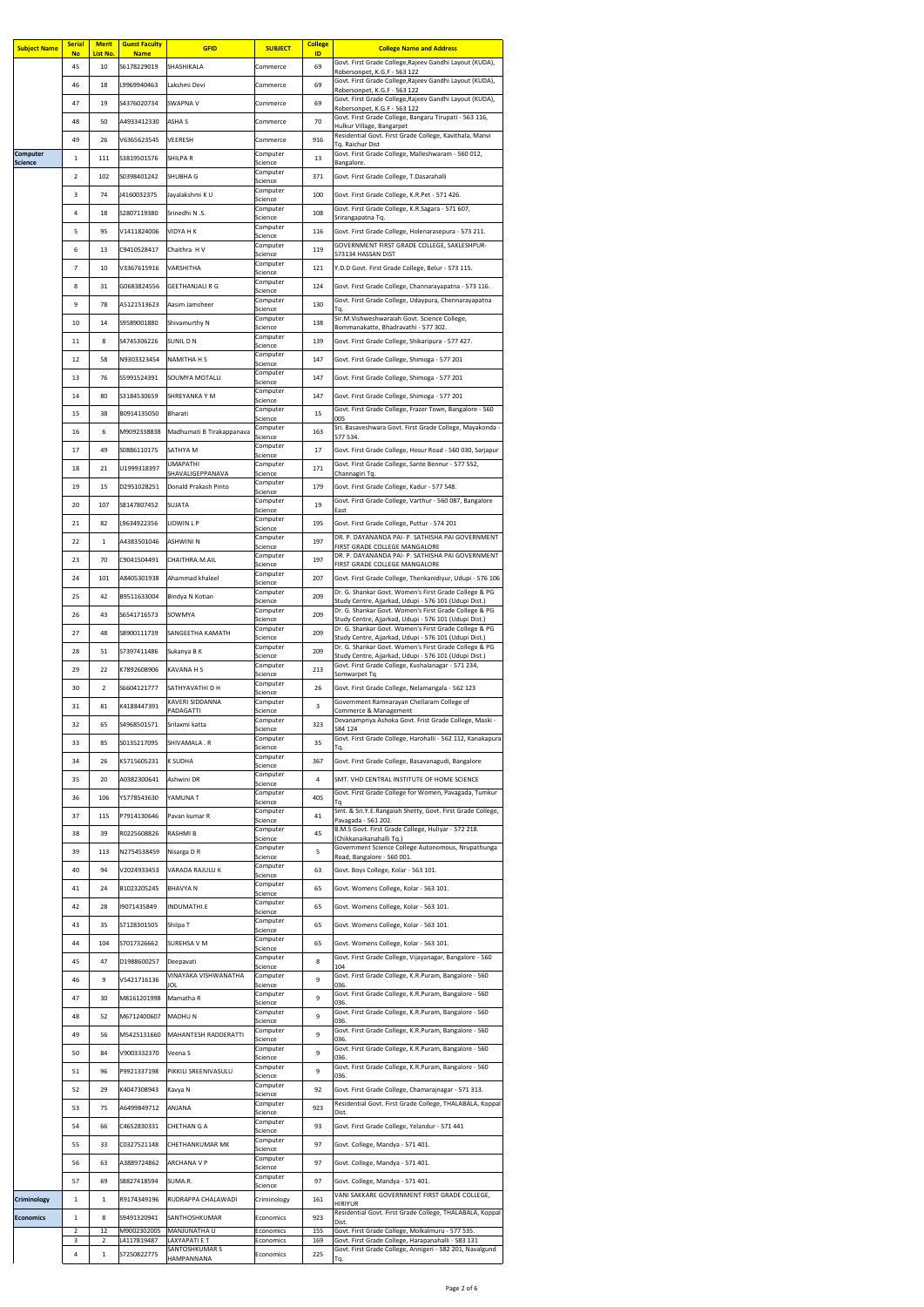| <b>Subject Name</b> | <b>Serial</b><br><b>No</b> | <b>Merit</b><br>List No. | <b>Guest Faculty</b><br><b>Name</b> | <b>GFID</b>                         | <b>SUBJECT</b>         | <b>College</b><br>ID | <b>College Name and Address</b>                                                                                |
|---------------------|----------------------------|--------------------------|-------------------------------------|-------------------------------------|------------------------|----------------------|----------------------------------------------------------------------------------------------------------------|
|                     | 45                         | 10                       | S6178229019                         | <b>SHASHIKALA</b>                   | Commerce               | 69                   | Govt. First Grade College, Rajeev Gandhi Layout (KUDA),<br>Robersonpet, K.G.F - 563 122                        |
|                     | 46                         | 18                       | L9969940463                         | Lakshmi Devi                        | Commerce               | 69                   | Govt. First Grade College, Rajeev Gandhi Layout (KUDA),<br>Robersonpet, K.G.F - 563 122                        |
|                     | 47                         | 19                       | S4376020734                         | <b>SWAPNA V</b>                     | Commerce               | 69                   | Govt. First Grade College, Rajeev Gandhi Layout (KUDA),                                                        |
|                     | 48                         | 50                       | A4933412330                         | <b>ASHA S</b>                       | Commerce               | 70                   | Robersonpet, K.G.F - 563 122<br>Govt. First Grade College, Bangaru Tirupati - 563 116,                         |
|                     | 49                         | 26                       | V6365623545                         | <b>VEERESH</b>                      | Commerce               | 916                  | Hulkur Village, Bangarpet<br>Residential Govt. First Grade College, Kavithala, Manvi                           |
| <b>Computer</b>     |                            |                          |                                     |                                     | Computer               |                      | Tq. Raichur Dist<br>Govt. First Grade College, Malleshwaram - 560 012,                                         |
| <b>Science</b>      | $\mathbf{1}$               | 111                      | S3819501576                         | <b>SHILPAR</b>                      | Science<br>Computer    | 13                   | Bangalore.                                                                                                     |
|                     | $\overline{2}$             | 102                      | S0398401242                         | <b>SHUBHA G</b>                     | Science                | 371                  | Govt. First Grade College, T.Dasarahalli                                                                       |
|                     | 3                          | 74                       | J4160032375                         | Jayalakshmi KU                      | Computer<br>Science    | 100                  | Govt. First Grade College, K.R.Pet - 571 426.                                                                  |
|                     | 4                          | 18                       | S2807119380                         | Srinedhi N .S.                      | Computer<br>Science    | 108                  | Govt. First Grade College, K.R.Sagara - 571 607,<br>Srirangapatna Tq.                                          |
|                     | 5                          | 95                       | V1411824006                         | <b>VIDYA H K</b>                    | Computer<br>Science    | 116                  | Govt. First Grade College, Holenarasepura - 573 211.                                                           |
|                     | 6                          | 13                       | C9410528417                         | Chaithra H V                        | Computer               | 119                  | GOVERNMENT FIRST GRADE COLLEGE, SAKLESHPUR-                                                                    |
|                     | 7                          | 10                       | V3367615916                         | <b>VARSHITHA</b>                    | Science<br>Computer    | 121                  | 573134 HASSAN DIST<br>Y.D.D Govt. First Grade College, Belur - 573 115.                                        |
|                     | 8                          | 31                       | G0683824556                         |                                     | Science<br>Computer    |                      |                                                                                                                |
|                     |                            |                          |                                     | <b>GEETHANJALI R G</b>              | Science<br>Computer    | 124                  | Govt. First Grade College, Channarayapatna - 573 116.<br>Govt. First Grade College, Udaypura, Chennarayapatna  |
|                     | 9                          | 78                       | A5121513623                         | Aasim Jamsheer                      | Science                | 130                  | Ta.<br>Sir.M.Vishweshwaraiah Govt. Science College,                                                            |
|                     | 10                         | 14                       | S9589001880                         | Shivamurthy N                       | Computer<br>Science    | 138                  | Bommanakatte, Bhadravathi - 577 302.                                                                           |
|                     | 11                         | 8                        | S4745306226                         | <b>SUNIL DN</b>                     | Computer<br>Science    | 139                  | Govt. First Grade College, Shikaripura - 577 427.                                                              |
|                     | 12                         | 58                       | N9303323454                         | <b>NAMITHA H S</b>                  | Computer<br>Science    | 147                  | Govt. First Grade College, Shimoga - 577 201                                                                   |
|                     | 13                         | 76                       | S5991524391                         | <b>SOUMYA MOTALLI</b>               | Computer               | 147                  | Govt. First Grade College, Shimoga - 577 201                                                                   |
|                     | 14                         | 80                       | S3184530659                         | <b>SHREYANKA Y M</b>                | Science<br>Computer    | 147                  | Govt. First Grade College, Shimoga - 577 201                                                                   |
|                     |                            |                          |                                     |                                     | Science<br>Computer    |                      | Govt. First Grade College, Frazer Town, Bangalore - 560                                                        |
|                     | 15                         | 38                       | B0914135050                         | <b>Bharati</b>                      | Science<br>Computer    | 15                   | 005<br>Sri. Basaveshwara Govt. First Grade College, Mayakonda -                                                |
|                     | 16                         | 6                        | M9092338838                         | Madhumati B Tirakappanava           | Science                | 163                  | 577 534.                                                                                                       |
|                     | 17                         | 49                       | S0886110175                         | <b>SATHYA M</b>                     | Computer<br>Science    | 17                   | Govt. First Grade College, Hosur Road - 560 030, Sarjapur                                                      |
|                     | 18                         | 21                       | U1999318397                         | <b>UMAPATHI</b><br>SHAVALIGEPPANAVA | Computer<br>Science    | 171                  | Govt. First Grade College, Sante Bennur - 577 552,<br>Channagiri Tq.                                           |
|                     | 19                         | 15                       | D2951028251                         | Donald Prakash Pinto                | Computer               | 179                  | Govt. First Grade College, Kadur - 577 548.                                                                    |
|                     | 20                         | 107                      | S8147807452                         | <b>SUJATA</b>                       | Science<br>Computer    | 19                   | Govt. First Grade College, Varthur - 560 087, Bangalore                                                        |
|                     |                            |                          |                                     |                                     | Science<br>Computer    |                      | East                                                                                                           |
|                     | 21                         | 82                       | L9634922356                         | <b>LIDWIN L P</b>                   | Science<br>Computer    | 195                  | Govt. First Grade College, Puttur - 574 201<br>DR. P. DAYANANDA PAI- P. SATHISHA PAI GOVERNMENT                |
|                     | 22                         | $\mathbf{1}$             | A4383501046                         | <b>ASHWINI N</b>                    | Science                | 197                  | FIRST GRADE COLLEGE MANGALORE                                                                                  |
|                     | 23                         | 70                       | C9041504491                         | CHAITHRA.M.AIL                      | Computer<br>Science    | 197                  | DR. P. DAYANANDA PAI- P. SATHISHA PAI GOVERNMENT<br>FIRST GRADE COLLEGE MANGALORE                              |
|                     | 24                         | 101                      | A8405301938                         | Ahammad khaleel                     | Computer<br>Science    | 207                  | Govt. First Grade College, Thenkanidiyur, Udupi - 576 106                                                      |
|                     | 25                         | 42                       | B9511633004                         | Bindya N Kotian                     | Computer               | 209                  | Dr. G. Shankar Govt. Women's First Grade College & PG                                                          |
|                     | 26                         | 43                       | S6541716573                         | SOWMYA                              | Science<br>Computer    | 209                  | Study Centre, Ajjarkad, Udupi - 576 101 (Udupi Dist.)<br>Dr. G. Shankar Govt. Women's First Grade College & PG |
|                     |                            |                          |                                     |                                     | Science<br>Computer    |                      | Study Centre, Ajjarkad, Udupi - 576 101 (Udupi Dist.)<br>Dr. G. Shankar Govt. Women's First Grade College & PG |
|                     | 27                         | 48                       | S8900111739                         | <b>SANGEETHA KAMATH</b>             | Science<br>Computer    | 209                  | Study Centre, Ajjarkad, Udupi - 576 101 (Udupi Dist.)<br>Dr. G. Shankar Govt. Women's First Grade College & PG |
|                     | 28                         | 51                       | S7397411486                         | Sukanya B K                         | Science                | 209                  | Study Centre, Ajjarkad, Udupi - 576 101 (Udupi Dist.)                                                          |
|                     | 29                         | 22                       | K7892608906                         | <b>KAVANA H S</b>                   | Computer<br>Science    | 213                  | Govt. First Grade College, Kushalanagar - 571 234,<br>Somwarpet Tq                                             |
|                     | 30                         | $\overline{2}$           | S6604121777                         | SATHYAVATHI D H                     | Computer<br>Science    | 26                   | Govt. First Grade College, Nelamangala - 562 123                                                               |
|                     | 31                         | 81                       | K4188447391                         | <b>KAVERI SIDDANNA</b><br>PADAGATTI | Computer<br>Science    | $\overline{3}$       | Government Ramnarayan Chellaram College of<br>Commerce & Management                                            |
|                     | 32                         | 65                       | S4968501571                         | Srilaxmi katta                      | Computer               | 323                  | Devanampriya Ashoka Govt. Frist Grade College, Maski -                                                         |
|                     | 33                         | 85                       | S0135217095                         | SHIVAMALA.R                         | Science<br>Computer    | 35                   | 584 124<br>Govt. First Grade College, Harohalli - 562 112, Kanakapura                                          |
|                     |                            |                          |                                     |                                     | Science<br>Computer    |                      | Тq.                                                                                                            |
|                     | 34                         | 26                       | K5715605231                         | <b>K SUDHA</b>                      | Science                | 367                  | Govt. First Grade College, Basavanagudi, Bangalore                                                             |
|                     | 35                         | 20                       | A0382300641                         | Ashwini DR                          | Computer<br>Science    | 4                    | SMT. VHD CENTRAL INSTITUTE OF HOME SCIENCE                                                                     |
|                     | 36                         | 106                      | Y5778543630                         | YAMUNA T                            | Computer<br>Science    | 405                  | Govt. First Grade College for Women, Pavagada, Tumkur<br>Τq                                                    |
|                     | 37                         | 115                      | P7914130646                         | Pavan kumar R                       | Computer<br>Science    | 41                   | Smt. & Sri.Y.E.Rangaiah Shetty, Govt. First Grade College,<br>Pavagada - 561 202.                              |
|                     | 38                         | 39                       | R0225608826                         | <b>RASHMIB</b>                      | Computer               | 45                   | B.M.S Govt. First Grade College, Huliyar - 572 218.                                                            |
|                     | 39                         | 113                      | N2754538459                         |                                     | Science<br>Computer    | 5                    | (Chikkanaikanahalli Tq.)<br>Government Science College Autonomous, Nrupathunga                                 |
|                     |                            |                          |                                     | Nisarga D R                         | Science<br>Computer    |                      | Road, Bangalore - 560 001.                                                                                     |
|                     | 40                         | 94                       | V2024933453                         | <b>VARADA RAJULU K</b>              | Science                | 63                   | Govt. Boys College, Kolar - 563 101.                                                                           |
|                     | 41                         | 24                       | B1023205245                         | <b>BHAVYAN</b>                      | Computer<br>Science    | 65                   | Govt. Womens College, Kolar - 563 101.                                                                         |
|                     | 42                         | 28                       | 19071435849                         | INDUMATHI.E                         | Computer<br>Science    | 65                   | Govt. Womens College, Kolar - 563 101.                                                                         |
|                     | 43                         | 35                       | S7128301505                         | Shilpa T                            | Computer<br>Science    | 65                   | Govt. Womens College, Kolar - 563 101.                                                                         |
|                     | 44                         | 104                      | S7017326662                         | <b>SUREHSA V M</b>                  | Computer               | 65                   | Govt. Womens College, Kolar - 563 101.                                                                         |
|                     |                            |                          |                                     |                                     | Science<br>Computer    |                      | Govt. First Grade College, Vijayanagar, Bangalore - 560                                                        |
|                     | 45                         | 47                       | D1988600257                         | Deepavati<br>VINAYAKA VISHWANATHA   | Science<br>Computer    | 8                    | 104<br>Govt. First Grade College, K.R.Puram, Bangalore - 560                                                   |
|                     | 46                         | 9                        | V5421716136                         | JOL                                 | Science                | 9                    | 036.                                                                                                           |
|                     | 47                         | 30                       | M8161201998                         | Mamatha R                           | Computer<br>Science    | 9                    | Govt. First Grade College, K.R.Puram, Bangalore - 560<br>036.                                                  |
|                     | 48                         | 52                       | M6712400607                         | MADHUN                              | Computer<br>Science    | 9                    | Govt. First Grade College, K.R.Puram, Bangalore - 560<br>036.                                                  |
|                     | 49                         | 56                       | M5425131660                         | MAHANTESH RADDERATTI                | Computer<br>Science    | 9                    | Govt. First Grade College, K.R.Puram, Bangalore - 560<br>036.                                                  |
|                     | 50                         | 84                       | V9003332370                         | Veena S                             | Computer               | 9                    | Govt. First Grade College, K.R.Puram, Bangalore - 560                                                          |
|                     | 51                         | 96                       | P9921337198                         | PIKKILI SREENIVASULU                | Science<br>Computer    | 9                    | 036.<br>Govt. First Grade College, K.R.Puram, Bangalore - 560                                                  |
|                     |                            |                          |                                     |                                     | Science<br>Computer    |                      | 036.                                                                                                           |
|                     | 52                         | 29                       | K4047308943                         | Kavya N                             | Science                | 92                   | Govt. First Grade College, Chamarajnagar - 571 313.                                                            |
|                     | 53                         | 75                       | A6499849712                         | <b>ANJANA</b>                       | Computer<br>Science    | 923                  | Residential Govt. First Grade College, THALABALA, Koppal<br>Dist.                                              |
|                     | 54                         | 66                       | C4652830331                         | <b>CHETHAN G A</b>                  | Computer<br>Science    | 93                   | Govt. First Grade College, Yelandur - 571 441                                                                  |
|                     | 55                         | 33                       | C0327521148                         | <b>CHETHANKUMAR MK</b>              | Computer               | 97                   | Govt. College, Mandya - 571 401.                                                                               |
|                     | 56                         | 63                       | A3889724862                         | <b>ARCHANA V P</b>                  | Science<br>Computer    | 97                   | Govt. College, Mandya - 571 401.                                                                               |
|                     | 57                         |                          |                                     |                                     | Science<br>Computer    |                      |                                                                                                                |
|                     |                            | 69                       | S8827418594                         | SUMA.R.                             | Science                | 97                   | Govt. College, Mandya - 571 401.<br>VANI SAKKARE GOVERNMENT FIRST GRADE COLLEGE,                               |
| <b>Criminology</b>  | $\mathbf{1}$               | $\mathbf{1}$             | R9174349196                         | RUDRAPPA CHALAWADI                  | Criminology            | 161                  | <b>HIRIYUR</b>                                                                                                 |
| <b>Economics</b>    | $\mathbf{1}$               | 8                        | S9491320941                         | SANTHOSHKUMAR                       | Economics              | 923                  | Residential Govt. First Grade College, THALABALA, Koppal<br>Dist.                                              |
|                     | $\overline{2}$<br>3        | 12<br>2                  | M9002302005<br>L4117819487          | MANJUNATHA U<br>LAXYAPATI E T       | Economics<br>Economics | 155<br>169           | Govt. First Grade College, Molkalmuru - 577 535.<br>Govt. First Grade College, Harapanahalli - 583 131         |
|                     | 4                          | $\mathbf{1}$             | S7250822775                         | <b>SANTOSHKUMAR S</b>               | Economics              | 225                  | Govt. First Grade College, Annigeri - 582 201, Navalgund                                                       |
|                     |                            |                          |                                     | HAMPANNANA                          |                        |                      | Tq.                                                                                                            |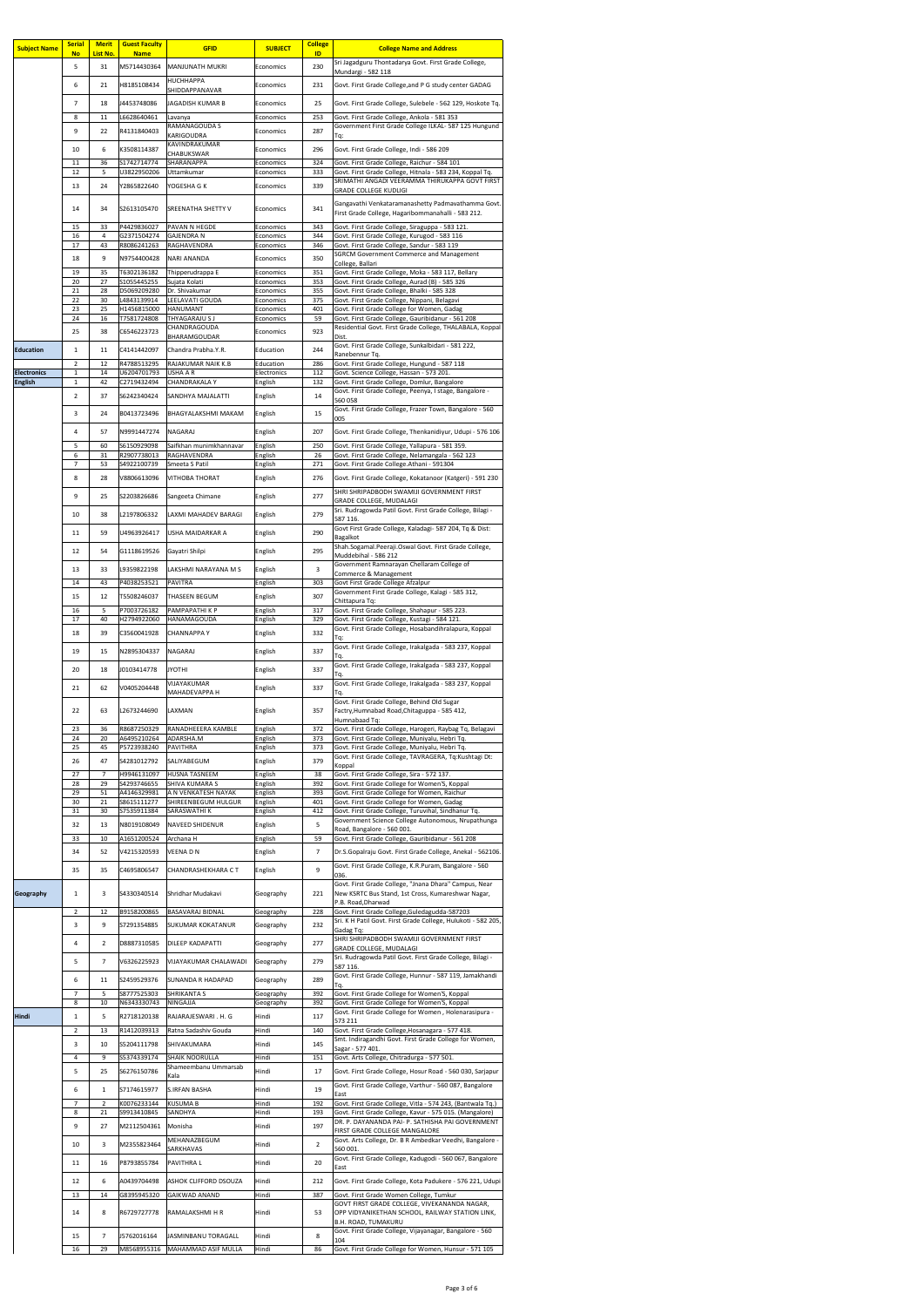| <b>Subject Name</b> | <b>Serial</b><br><b>No</b>     | <b>Merit</b><br>List No. | <b>Guest Faculty</b><br><b>Name</b> | <b>GFID</b>                                         | <b>SUBJECT</b>         | <b>College</b><br>ID | <b>College Name and Address</b>                                                                                       |
|---------------------|--------------------------------|--------------------------|-------------------------------------|-----------------------------------------------------|------------------------|----------------------|-----------------------------------------------------------------------------------------------------------------------|
|                     | 5                              | 31                       | M5714430364                         | MANJUNATH MUKRI                                     | Economics              | 230                  | Sri Jagadguru Thontadarya Govt. First Grade College,<br>Mundargi - 582 118                                            |
|                     | 6                              | 21                       | H8185108434                         | <b>HUCHHAPPA</b><br>SHIDDAPPANAVAR                  | Economics              | 231                  | Govt. First Grade College, and P G study center GADAG                                                                 |
|                     | 7                              | 18                       | J4453748086                         | <b>JAGADISH KUMAR B</b>                             | Economics              | 25                   | Govt. First Grade College, Sulebele - 562 129, Hoskote Tq.                                                            |
|                     | 8                              | 11                       | L6628640461                         | Lavanya                                             | Economics              | 253                  | Govt. First Grade College, Ankola - 581 353                                                                           |
|                     | 9                              | 22                       | R4131840403                         | <b>RAMANAGOUDA S</b><br><b>KARIGOUDRA</b>           | Economics              | 287                  | Government First Grade College ILKAL- 587 125 Hungund<br>Tq:                                                          |
|                     | 10                             | 6                        | K3508114387                         | KAVINDRAKUMAR<br><b>CHABUKSWAR</b>                  | Economics              | 296                  | Govt. First Grade College, Indi - 586 209                                                                             |
|                     | 11<br>12                       | 36<br>5                  | S1742714774<br>U3822950206          | <b>SHARANAPPA</b>                                   | Economics<br>Economics | 324<br>333           | Govt. First Grade College, Raichur - 584 101<br>Govt. First Grade College, Hitnala - 583 234, Koppal Tq.              |
|                     | 13                             | 24                       | Y2865822640                         | Uttamkumar<br>YOGESHA G K                           | Economics              | 339                  | SRIMATHI ANGADI VEERAMMA THIRUKAPPA GOVT FIRST                                                                        |
|                     |                                |                          |                                     |                                                     |                        |                      | <b>GRADE COLLEGE KUDLIGI</b><br>Gangavathi Venkataramanashetty Padmavathamma Govt.                                    |
|                     | 14                             | 34                       | S2613105470                         | <b>SREENATHA SHETTY V</b>                           | Economics              | 341                  | First Grade College, Hagaribommanahalli - 583 212.                                                                    |
|                     | 15<br>16                       | 33<br>4                  | P4429836027<br>G2371504274          | <b>PAVAN N HEGDE</b><br><b>GAJENDRA N</b>           | Economics<br>Economics | 343<br>344           | Govt. First Grade College, Siraguppa - 583 121.<br>Govt. First Grade College, Kurugod - 583 116                       |
|                     | 17                             | 43                       | R8086241263                         | RAGHAVENDRA                                         | Economics              | 346                  | Govt. First Grade College, Sandur - 583 119                                                                           |
|                     | 18                             | 9                        | N9754400428                         | <b>NARI ANANDA</b>                                  | Economics              | 350                  | <b>SGRCM Government Commerce and Management</b><br>College, Ballari                                                   |
|                     | 19<br>20                       | 35<br>27                 | T6302136182<br>S1055445255          | Thipperudrappa E<br>Sujata Kolati                   | Economics<br>Economics | 351<br>353           | Govt. First Grade College, Moka - 583 117, Bellary<br>Govt. First Grade College, Aurad (B) - 585 326                  |
|                     | 21<br>22                       | 28<br>30                 | D5069209280<br>L4843139914          | Dr. Shivakumar<br>LEELAVATI GOUDA                   | Economics<br>Economics | 355<br>375           | Govt. First Grade College, Bhalki - 585 328<br>Govt. First Grade College, Nippani, Belagavi                           |
|                     | 23<br>24                       | 25<br>16                 | H1456815000<br>T7581724808          | <b>HANUMANT</b><br>THYAGARAJU S J                   | Economics              | 401<br>59            | Govt. First Grade College for Women, Gadag                                                                            |
|                     | 25                             | 38                       | C6546223723                         | <b>CHANDRAGOUDA</b>                                 | Economics<br>Economics | 923                  | Govt. First Grade College, Gauribidanur - 561 208<br>Residential Govt. First Grade College, THALABALA, Koppal         |
| <b>Education</b>    |                                |                          |                                     | <b>BHARAMGOUDAR</b><br>Chandra Prabha.Y.R.          |                        | 244                  | Dist.<br>Govt. First Grade College, Sunkalbidari - 581 222,                                                           |
|                     | 1<br>$\overline{2}$            | 11<br>12                 | C4141442097<br>R4788513295          | <b>RAJAKUMAR NAIK K.B</b>                           | Education<br>Education | 286                  | Ranebennur Tq.<br>Govt. First Grade College, Hungund - 587 118                                                        |
| <b>Electronics</b>  | $\mathbf{1}$                   | 14                       | U6204701793                         | <b>USHA A R</b><br><b>CHANDRAKALA Y</b>             | Electronics            | 112                  | Govt. Science College, Hassan - 573 201.<br>Govt. First Grade College, Domlur, Bangalore                              |
| <b>English</b>      | $\mathbf{1}$<br>$\overline{2}$ | 42<br>37                 | C2719432494<br>S6242340424          | <b>SANDHYA MAJALATTI</b>                            | English<br>English     | 132<br>14            | Govt. First Grade College, Peenya, I stage, Bangalore -                                                               |
|                     |                                |                          |                                     |                                                     |                        |                      | 560 058<br>Govt. First Grade College, Frazer Town, Bangalore - 560                                                    |
|                     | 3                              | 24                       | B0413723496                         | <b>BHAGYALAKSHMI MAKAM</b>                          | English                | 15                   | 005                                                                                                                   |
|                     | 4                              | 57                       | N9991447274                         | <b>NAGARAJ</b>                                      | English                | 207                  | Govt. First Grade College, Thenkanidiyur, Udupi - 576 106                                                             |
|                     | 5<br>6                         | 60<br>31                 | S6150929098<br>R2907738013          | Saifkhan munimkhannavar<br>RAGHAVENDRA              | English<br>English     | 250<br>26            | Govt. First Grade College, Yallapura - 581 359.<br>Govt. First Grade College, Nelamangala - 562 123                   |
|                     | $\overline{7}$                 | 53                       | S4922100739                         | Smeeta S Patil                                      | English                | 271                  | Govt. First Grade College. Athani - 591304                                                                            |
|                     | 8                              | 28                       | V8806613096                         | <b>VITHOBA THORAT</b>                               | English                | 276                  | Govt. First Grade College, Kokatanoor (Katgeri) - 591 230<br>SHRI SHRIPADBODH SWAMIJI GOVERNMENT FIRST                |
|                     | 9                              | 25                       | S2203826686                         | Sangeeta Chimane                                    | English                | 277                  | <b>GRADE COLLEGE, MUDALAGI</b>                                                                                        |
|                     | 10                             | 38                       | L2197806332                         | LAXMI MAHADEV BARAGI                                | English                | 279                  | Sri. Rudragowda Patil Govt. First Grade College, Bilagi -<br>587 116.                                                 |
|                     | 11                             | 59                       | U4963926417                         | USHA MAIDARKAR A                                    | English                | 290                  | Govt First Grade College, Kaladagi- 587 204, Tq & Dist:<br>Bagalkot                                                   |
|                     | 12                             | 54                       | G1118619526                         | Gayatri Shilpi                                      | English                | 295                  | Shah.Sogamal.Peeraji.Oswal Govt. First Grade College,<br>Muddebihal - 586 212                                         |
|                     | 13                             | 33                       | L9359822198                         | LAKSHMI NARAYANA M S                                | English                | 3                    | Government Ramnarayan Chellaram College of                                                                            |
|                     | 14                             | 43                       | P4038253521                         | <b>PAVITRA</b>                                      | English                | 303                  | Commerce & Management<br>Govt First Grade College Afzalpur                                                            |
|                     | 15                             | 12                       | T5508246037                         | <b>THASEEN BEGUM</b>                                | English                | 307                  | Government First Grade College, Kalagi - 585 312,<br>Chittapura Tq:                                                   |
|                     | 16<br>17                       | 5<br>40                  | P7003726182<br>H2794922060          | <b>PAMPAPATHIKP</b><br>HANAMAGOUDA                  | English<br>English     | 317<br>329           | Govt. First Grade College, Shahapur - 585 223.<br>Govt. First Grade College, Kustagi - 584 121.                       |
|                     | 18                             | 39                       | C3560041928                         | <b>CHANNAPPAY</b>                                   | English                | 332                  | Govt. First Grade College, Hosabandihralapura, Koppal                                                                 |
|                     | 19                             | 15                       | N2895304337                         | <b>NAGARAJ</b>                                      | English                | 337                  | Tq:<br>Govt. First Grade College, Irakalgada - 583 237, Koppal                                                        |
|                     |                                |                          |                                     |                                                     |                        |                      | Tq.<br>Govt. First Grade College, Irakalgada - 583 237, Koppal                                                        |
|                     | 20                             | 18                       | J0103414778                         | <b>JYOTHI</b><br>VIJAYAKUMAR                        | English                | 337                  | Tq.<br>Govt. First Grade College, Irakalgada - 583 237, Koppal                                                        |
|                     | 21                             | 62                       | V0405204448                         | <b>MAHADEVAPPA H</b>                                | English                | 337                  | Tq.                                                                                                                   |
|                     | 22                             | 63                       | L2673244690                         | LAXMAN                                              | English                | 357                  | Govt. First Grade College, Behind Old Sugar<br>Factry, Humnabad Road, Chitaguppa - 585 412,                           |
|                     | 23                             | 36                       | R8687250329                         | RANADHEEERA KAMBLE                                  | English                | 372                  | Humnabaad Tq:<br>Govt. First Grade College, Harogeri, Raybag Tq, Belagavi                                             |
|                     | 24<br>25                       | 20<br>45                 | A6495210264<br>P5723938240          | ADARSHA.M<br><b>PAVITHRA</b>                        | English<br>English     | 373<br>373           | Govt. First Grade College, Muniyalu, Hebri Tq.<br>Govt. First Grade College, Muniyalu, Hebri Tq.                      |
|                     | 26                             | 47                       | S4281012792                         | <b>SALIYABEGUM</b>                                  | English                | 379                  | Govt. First Grade College, TAVRAGERA, Tq:Kushtagi Dt:<br>Koppal                                                       |
|                     | 27                             | $\overline{7}$           | H9946131097                         | <b>HUSNA TASNEEM</b>                                | English                | 38                   | Govt. First Grade College, Sira - 572 137.                                                                            |
|                     | 28<br>29                       | 29<br>51                 | S4293746655<br>A4146329981          | <b>SHIVA KUMARA S</b><br>A N VENKATESH NAYAK        | English<br>English     | 392<br>393           | Govt. First Grade College for Women'S, Koppal<br>Govt. First Grade College for Women, Raichur                         |
|                     | 30<br>31                       | 21<br>30                 | S8615111277<br>S7535911384          | SHIREENBEGUM HULGUR<br><b>SARASWATHI K</b>          | English<br>English     | 401<br>412           | Govt. First Grade College for Women, Gadag<br>Govt. First Grade College, Turuvihal, Sindhanur Tq.                     |
|                     | 32                             | 13                       | N8019108049                         | NAVEED SHIDENUR                                     | English                | 5                    | Government Science College Autonomous, Nrupathunga<br>Road, Bangalore - 560 001.                                      |
|                     | 33                             | 10                       | A1651200524                         | Archana H                                           | English                | 59                   | Govt. First Grade College, Gauribidanur - 561 208                                                                     |
|                     | 34                             | 52                       | V4215320593                         | <b>VEENADN</b>                                      | English                | 7                    | Dr.S.Gopalraju Govt. First Grade College, Anekal - 562106.                                                            |
|                     | 35                             | 35                       | C4695806547                         | <b>CHANDRASHEKHARA CT</b>                           | English                | 9                    | Govt. First Grade College, K.R.Puram, Bangalore - 560<br>036.                                                         |
| Geography           |                                | 3.                       | S4330340514                         | Shridhar Mudakavi                                   | Geography              | 221                  | Govt. First Grade College, "Jnana Dhara" Campus, Near<br>New KSRTC Bus Stand, 1st Cross, Kumareshwar Nagar,           |
|                     |                                |                          |                                     |                                                     |                        |                      | P.B. Road, Dharwad                                                                                                    |
|                     | $\overline{2}$<br>3            | 12<br>9                  | B9158200865<br>S7291354885          | <b>BASAVARAJ BIDNAL</b><br><b>SUKUMAR KOKATANUR</b> | Geography<br>Geography | 228<br>232           | Govt. First Grade College, Guledagudda-587203<br>Sri. K H Patil Govt. First Grade College, Hulukoti - 582 205,        |
|                     |                                |                          |                                     |                                                     |                        |                      | Gadag Tq:<br>SHRI SHRIPADBODH SWAMIJI GOVERNMENT FIRST                                                                |
|                     | 4                              | $\mathbf{2}$             | D8887310585                         | <b>DILEEP KADAPATTI</b>                             | Geography              | 277                  | <b>GRADE COLLEGE, MUDALAGI</b><br>Sri. Rudragowda Patil Govt. First Grade College, Bilagi -                           |
|                     | 5                              | 7 <sup>1</sup>           | V6326225923                         | <b>VIJAYAKUMAR CHALAWADI</b>                        | Geography              | 279                  | 587 116.                                                                                                              |
|                     | 6                              | 11                       | S2459529376                         | SUNANDA R HADAPAD                                   | Geography              | 289                  | Govt. First Grade College, Hunnur - 587 119, Jamakhandi<br>Tq.                                                        |
|                     | $\overline{7}$<br>8            | 5<br>10                  | S8777525303<br>N6343330743          | <b>SHRIKANTA S</b><br><b>NINGAJJA</b>               | Geography<br>Geography | 392<br>392           | Govt. First Grade College for Women'S, Koppal<br>Govt. First Grade College for Women'S, Koppal                        |
| <b>Hindi</b>        | 1                              | 5.                       | R2718120138                         | RAJARAJESWARI . H. G                                | Hindi                  | 117                  | Govt. First Grade College for Women, Holenarasipura -<br>573 211                                                      |
|                     | $\overline{2}$                 | 13                       | R1412039313                         | Ratna Sadashiv Gouda                                | Hindi                  | 140                  | Govt. First Grade College, Hosanagara - 577 418.                                                                      |
|                     | 3                              | 10                       | S5204111798                         | SHIVAKUMARA                                         | Hindi                  | 145                  | Smt. Indiragandhi Govt. First Grade College for Women,<br>Sagar - 577 401.                                            |
|                     | 4                              | 9                        | S5374339174                         | <b>SHAIK NOORULLA</b><br>Shameembanu Ummarsab       | Hindi                  | 151                  | Govt. Arts College, Chitradurga - 577 501.                                                                            |
|                     | 5.                             | 25                       | S6276150786                         | Kala                                                | Hindi                  | 17                   | Govt. First Grade College, Hosur Road - 560 030, Sarjapur<br>Govt. First Grade College, Varthur - 560 087, Bangalore  |
|                     | 6                              | $\mathbf{1}$             | S7174615977                         | <b>S.IRFAN BASHA</b>                                | Hindi                  | 19                   | East                                                                                                                  |
|                     | 7<br>8                         | $\overline{2}$<br>21     | K0076233144<br>S9913410845          | <b>KUSUMA B</b><br><b>SANDHYA</b>                   | Hindi<br>Hindi         | 192<br>193           | Govt. First Grade College, Vitla - 574 243, (Bantwala Tq.)<br>Govt. First Grade College, Kavur - 575 015. (Mangalore) |
|                     | 9                              | 27                       | M2112504361                         | Monisha                                             | Hindi                  | 197                  | DR. P. DAYANANDA PAI- P. SATHISHA PAI GOVERNMENT<br>FIRST GRADE COLLEGE MANGALORE                                     |
|                     | 10                             | 3                        | M2355823464                         | MEHANAZBEGUM<br><b>SARKHAVAS</b>                    | Hindi                  | $\overline{2}$       | Govt. Arts College, Dr. B R Ambedkar Veedhi, Bangalore -<br>560 001.                                                  |
|                     | 11                             | 16                       | P8793855784                         | <b>PAVITHRAL</b>                                    | Hindi                  | 20                   | Govt. First Grade College, Kadugodi - 560 067, Bangalore                                                              |
|                     | 12                             | 6                        | A0439704498                         | <b>ASHOK CLIFFORD DSOUZA</b>                        | Hindi                  | 212                  | East                                                                                                                  |
|                     | 13                             | 14                       | G8395945320                         | <b>GAIKWAD ANAND</b>                                | Hindi                  | 387                  | Govt. First Grade College, Kota Padukere - 576 221, Udupi<br>Govt. First Grade Women College, Tumkur                  |
|                     | 14                             | 8                        | R6729727778                         | RAMALAKSHMI H R                                     | Hindi                  | 53                   | GOVT FIRST GRADE COLLEGE, VIVEKANANDA NAGAR,<br>OPP VIDYANIKETHAN SCHOOL, RAILWAY STATION LINK,                       |
|                     |                                |                          |                                     |                                                     |                        |                      | <b>B.H. ROAD, TUMAKURU</b>                                                                                            |
|                     | 15                             | $\overline{7}$           | J5762016164                         | JASMINBANU TORAGALL                                 | Hindi                  | 8                    | Govt. First Grade College, Vijayanagar, Bangalore - 560<br>104                                                        |
|                     | 16                             | 29                       | M8568955316                         | MAHAMMAD ASIF MULLA                                 | Hindi                  | 86                   | Govt. First Grade College for Women, Hunsur - 571 105                                                                 |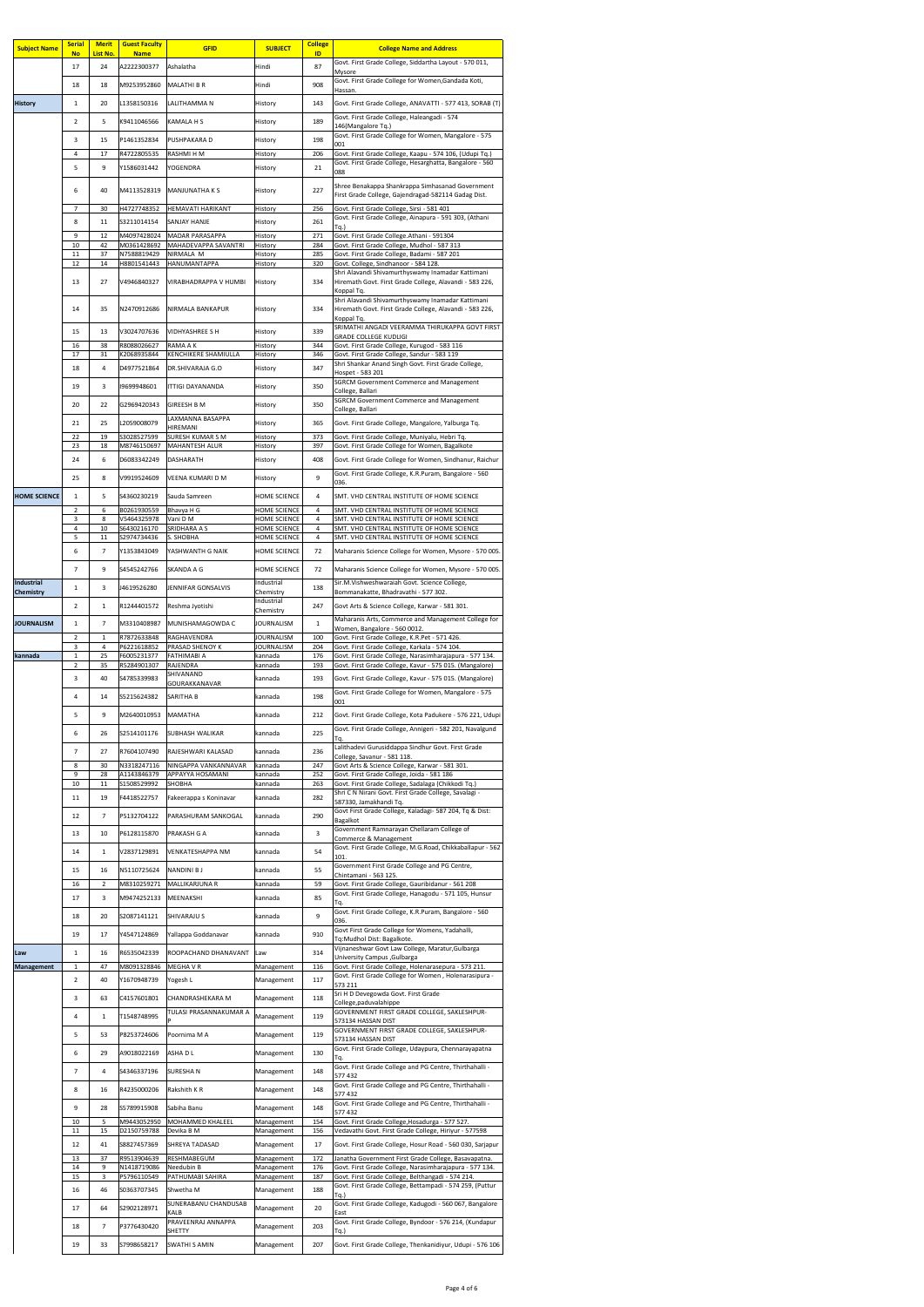| <b>Subject Name</b> | <b>Serial</b><br><b>No</b> | <b>Merit</b><br>List No. | <b>Guest Faculty</b><br><b>Name</b> | <b>GFID</b>                                     | <b>SUBJECT</b>                             | <b>College</b><br>ID | <b>College Name and Address</b>                                                                                       |
|---------------------|----------------------------|--------------------------|-------------------------------------|-------------------------------------------------|--------------------------------------------|----------------------|-----------------------------------------------------------------------------------------------------------------------|
|                     | 17                         | 24                       | A2222300377                         | Ashalatha                                       | Hindi                                      | 87                   | Govt. First Grade College, Siddartha Layout - 570 011,                                                                |
|                     | 18                         | 18                       | M9253952860                         | <b>MALATHI B R</b>                              | Hindi                                      | 908                  | <b>Mysore</b><br>Govt. First Grade College for Women, Gandada Koti,                                                   |
| <b>History</b>      | 1                          | 20                       | L1358150316                         | LALITHAMMA N                                    | History                                    | 143                  | Hassan.<br>Govt. First Grade College, ANAVATTI - 577 413, SORAB (T)                                                   |
|                     | $\overline{2}$             | 5                        | K9411046566                         | <b>KAMALA H S</b>                               | History                                    | 189                  | Govt. First Grade College, Haleangadi - 574                                                                           |
|                     |                            |                          |                                     |                                                 |                                            |                      | 146(Mangalore Tq.)<br>Govt. First Grade College for Women, Mangalore - 575                                            |
|                     | 3<br>4                     | 15<br>17                 | P1461352834<br>R4722805535          | PUSHPAKARA D<br><b>RASHMI H M</b>               | History<br>History                         | 198<br>206           | 001<br>Govt. First Grade College, Kaapu - 574 106, (Udupi Tq.)                                                        |
|                     | 5                          | 9                        | Y1586031442                         | YOGENDRA                                        | History                                    | 21                   | Govt. First Grade College, Hesarghatta, Bangalore - 560                                                               |
|                     |                            |                          |                                     |                                                 |                                            |                      | 088<br>Shree Benakappa Shankrappa Simhasanad Government                                                               |
|                     | 6                          | 40                       | M4113528319                         | <b>MANJUNATHAKS</b>                             | History                                    | 227                  | First Grade College, Gajendragad-582114 Gadag Dist.                                                                   |
|                     | $\overline{7}$             | 30                       | H4727748352                         | <b>HEMAVATI HARIKANT</b>                        | History                                    | 256                  | Govt. First Grade College, Sirsi - 581 401<br>Govt. First Grade College, Ainapura - 591 303, (Athani                  |
|                     | 8<br>9                     | 11<br>12                 | S3211014154<br>M4097428024          | <b>SANJAY HANJE</b><br><b>MADAR PARASAPPA</b>   | History<br>History                         | 261<br>271           | $Tq.$ )<br>Govt. First Grade College.Athani - 591304                                                                  |
|                     | 10                         | 42                       | M0361428692                         | MAHADEVAPPA SAVANTRI                            | History                                    | 284                  | Govt. First Grade College, Mudhol - 587 313                                                                           |
|                     | 11<br>12                   | 37<br>14                 | N7588819429<br>H8801541443          | NIRMALA M<br>HANUMANTAPPA                       | History<br>History                         | 285<br>320           | Govt. First Grade College, Badami - 587 201<br>Govt. College, Sindhanoor - 584 128.                                   |
|                     | 13                         | 27                       | V4946840327                         | VIRABHADRAPPA V HUMBI                           | History                                    | 334                  | Shri Alavandi Shivamurthyswamy Inamadar Kattimani<br>Hiremath Govt. First Grade College, Alavandi - 583 226,          |
|                     |                            |                          |                                     |                                                 |                                            |                      | Koppal Tq.<br>Shri Alavandi Shivamurthyswamy Inamadar Kattimani                                                       |
|                     | 14                         | 35                       | N2470912686                         | NIRMALA BANKAPUR                                | History                                    | 334                  | Hiremath Govt. First Grade College, Alavandi - 583 226,<br>Koppal Tq.                                                 |
|                     | 15                         | 13                       | V3024707636                         | <b>VIDHYASHREE S H</b>                          | History                                    | 339                  | SRIMATHI ANGADI VEERAMMA THIRUKAPPA GOVT FIRST                                                                        |
|                     | 16                         | 38                       | R8088026627                         | <b>RAMA A K</b>                                 | History                                    | 344                  | <b>GRADE COLLEGE KUDLIGI</b><br>Govt. First Grade College, Kurugod - 583 116                                          |
|                     | 17                         | 31                       | K2068935844                         | KENCHIKERE SHAMIULLA                            | History                                    | 346                  | Govt. First Grade College, Sandur - 583 119<br>Shri Shankar Anand Singh Govt. First Grade College,                    |
|                     | 18                         | 4                        | D4977521864                         | <b>DR.SHIVARAJA G.O</b>                         | History                                    | 347                  | Hospet - 583 201<br><b>SGRCM Government Commerce and Management</b>                                                   |
|                     | 19                         | 3                        | 19699948601                         | <b>ITTIGI DAYANANDA</b>                         | History                                    | 350                  | College, Ballari                                                                                                      |
|                     | 20                         | 22                       | G2969420343                         | <b>GIREESH B M</b>                              | History                                    | 350                  | <b>SGRCM Government Commerce and Management</b><br>College, Ballari                                                   |
|                     | 21                         | 25                       | L2059008079                         | LAXMANNA BASAPPA<br><b>HIREMANI</b>             | History                                    | 365                  | Govt. First Grade College, Mangalore, Yalburga Tq.                                                                    |
|                     | 22                         | 19                       | S3028527599                         | <b>SURESH KUMAR S M</b>                         | History                                    | 373                  | Govt. First Grade College, Muniyalu, Hebri Tq.                                                                        |
|                     | 23<br>24                   | 18<br>6                  | M8746150697<br>D6083342249          | <b>MAHANTESH ALUR</b><br><b>DASHARATH</b>       | History<br>History                         | 397<br>408           | Govt. First Grade College for Women, Bagalkote<br>Govt. First Grade College for Women, Sindhanur, Raichur             |
|                     |                            |                          |                                     |                                                 |                                            |                      | Govt. First Grade College, K.R.Puram, Bangalore - 560                                                                 |
|                     | 25                         | 8                        | V9919524609                         | <b>VEENA KUMARI D M</b>                         | History                                    | 9                    | 036.                                                                                                                  |
| <b>HOME SCIENCE</b> | $\mathbf{1}$               | 5                        | S4360230219                         | Sauda Samreen                                   | <b>HOME SCIENCE</b>                        | $\overline{4}$       | SMT. VHD CENTRAL INSTITUTE OF HOME SCIENCE                                                                            |
|                     | $\overline{2}$<br>3        | 6<br>8                   | B0261930559<br>V5464325978          | Bhavya H G<br>Vani D M                          | <b>HOME SCIENCE</b><br><b>HOME SCIENCE</b> | 4<br>4               | SMT. VHD CENTRAL INSTITUTE OF HOME SCIENCE<br>SMT. VHD CENTRAL INSTITUTE OF HOME SCIENCE                              |
|                     | 4<br>5                     | 10<br>11                 | S6430216170<br>S2974734436          | <b>SRIDHARA A S</b><br>S. SHOBHA                | <b>HOME SCIENCE</b><br><b>HOME SCIENCE</b> | 4<br>4               | SMT. VHD CENTRAL INSTITUTE OF HOME SCIENCE<br>SMT. VHD CENTRAL INSTITUTE OF HOME SCIENCE                              |
|                     | 6                          | $\overline{7}$           | Y1353843049                         | YASHWANTH G NAIK                                | <b>HOME SCIENCE</b>                        | 72                   | Maharanis Science College for Women, Mysore - 570 005.                                                                |
|                     | 7                          | 9                        | S4545242766                         | <b>SKANDA A G</b>                               | <b>HOME SCIENCE</b>                        | 72                   | Maharanis Science College for Women, Mysore - 570 005.                                                                |
| Industrial          |                            |                          | J4619526280                         | <b>JENNIFAR GONSALVIS</b>                       | Industrial                                 | 138                  | Sir.M.Vishweshwaraiah Govt. Science College,                                                                          |
| <b>Chemistry</b>    | 1                          | 3                        |                                     |                                                 | Chemistry<br>Industrial                    |                      | Bommanakatte, Bhadravathi - 577 302.                                                                                  |
|                     | $\overline{2}$             | 1                        | R1244401572                         | Reshma Jyotishi                                 | Chemistry                                  | 247                  | Govt Arts & Science College, Karwar - 581 301.                                                                        |
| <b>JOURNALISM</b>   | 1                          | $\overline{7}$           | M3310408987                         | MUNISHAMAGOWDA C                                | <b>JOURNALISM</b>                          | $\mathbf{1}$         | Maharanis Arts, Commerce and Management College for<br>Women, Bangalore - 560 0012.                                   |
|                     | $\overline{2}$<br>3        | $\mathbf{1}$<br>4        | R7872633848<br>P6221618852          | <b>RAGHAVENDRA</b><br><b>PRASAD SHENOY K</b>    | <b>JOURNALISM</b><br><b>JOURNALISM</b>     | 100<br>204           | Govt. First Grade College, K.R.Pet - 571 426.<br>Govt. First Grade College, Karkala - 574 104.                        |
| kannada             | 1<br>$\overline{2}$        | 25<br>35                 | F6005231377<br>R5284901307          | FATHIMABI A<br>RAJENDRA                         | kannada<br>kannada                         | 176<br>193           | Govt. First Grade College, Narasimharajapura - 577 134.<br>Govt. First Grade College, Kavur - 575 015. (Mangalore)    |
|                     | 3                          | 40                       | S4785339983                         | SHIVANAND                                       | kannada                                    | 193                  | Govt. First Grade College, Kavur - 575 015. (Mangalore)                                                               |
|                     | 4                          | 14                       | S5215624382                         | GOURAKKANAVAR<br><b>SARITHA B</b>               | kannada                                    | 198                  | Govt. First Grade College for Women, Mangalore - 575                                                                  |
|                     |                            |                          | M2640010953                         |                                                 |                                            |                      | 001                                                                                                                   |
|                     | 5                          | 9                        |                                     | <b>MAMATHA</b>                                  | kannada                                    | 212                  | Govt. First Grade College, Kota Padukere - 576 221, Udupi<br>Govt. First Grade College, Annigeri - 582 201, Navalgund |
|                     | 6                          | 26                       | S2514101176                         | <b>SUBHASH WALIKAR</b>                          | kannada                                    | 225                  | ΙTq.                                                                                                                  |
|                     | 7                          | 27                       | R7604107490                         | RAJESHWARI KALASAD                              | kannada                                    | 236                  | Lalithadevi Gurusiddappa Sindhur Govt. First Grade<br>College, Savanur - 581 118.                                     |
|                     | 8<br>9                     | 30<br>28                 | N3318247116<br>A1143846379          | NINGAPPA VANKANNAVAR<br><b>APPAYYA HOSAMANI</b> | kannada<br>kannada                         | 247<br>252           | Govt Arts & Science College, Karwar - 581 301.<br>Govt. First Grade College, Joida - 581 186                          |
|                     | 10                         | 11                       | S1508529992                         | <b>SHOBHA</b>                                   | kannada                                    | 263                  | Govt. First Grade College, Sadalaga (Chikkodi Tq.)<br>Shri C N Nirani Govt. First Grade College, Savalagi -           |
|                     | 11                         | 19                       | F4418522757                         | Fakeerappa s Koninavar                          | kannada                                    | 282                  | 587330, Jamakhandi Tq.                                                                                                |
|                     | 12                         | 7                        | P5132704122                         | PARASHURAM SANKOGAL                             | kannada                                    | 290                  | Govt First Grade College, Kaladagi- 587 204, Tq & Dist:<br>Bagalkot                                                   |
|                     | 13                         | 10                       | P6128115870                         | <b>PRAKASH G A</b>                              | kannada                                    | $\overline{3}$       | Government Ramnarayan Chellaram College of<br>Commerce & Management                                                   |
|                     | 14                         | $\mathbf{1}$             | V2837129891                         | <b>VENKATESHAPPA NM</b>                         | kannada                                    | 54                   | Govt. First Grade College, M.G.Road, Chikkaballapur - 562<br>101.                                                     |
|                     | 15                         | 16                       | N5110725624                         | <b>NANDINI BJ</b>                               | kannada                                    | 55                   | Government First Grade College and PG Centre,                                                                         |
|                     | 16                         | $\overline{2}$           | M8310259271                         | MALLIKARJUNA R                                  | kannada                                    | 59                   | Chintamani - 563 125.<br>Govt. First Grade College, Gauribidanur - 561 208                                            |
|                     | 17                         | 3                        | M9474252133                         | MEENAKSHI                                       | kannada                                    | 85                   | Govt. First Grade College, Hanagodu - 571 105, Hunsur<br>Tq.                                                          |
|                     | 18                         | 20                       | S2087141121                         | <b>SHIVARAJU S</b>                              | kannada                                    | 9                    | Govt. First Grade College, K.R.Puram, Bangalore - 560<br>036.                                                         |
|                     | 19                         | 17                       | Y4547124869                         | Yallappa Goddanavar                             | kannada                                    | 910                  | Govt First Grade College for Womens, Yadahalli,                                                                       |
| Law                 | $\mathbf{1}$               | 16                       | R6535042339                         | ROOPACHAND DHANAVANT                            | l Law                                      | 314                  | Tq:Mudhol Dist: Bagalkote.<br>Vijnaneshwar Govt Law College, Maratur, Gulbarga                                        |
| Management          | $\mathbf{1}$               | 47                       | M8091328846                         | <b>MEGHAVR</b>                                  | Management                                 | 116                  | University Campus, Gulbarga<br>Govt. First Grade College, Holenarasepura - 573 211.                                   |
|                     | $\overline{2}$             | 40                       | Y1670948739                         | Yogesh L                                        | Management                                 | 117                  | Govt. First Grade College for Women, Holenarasipura -<br>573 211                                                      |
|                     | 3                          | 63                       | C4157601801                         | CHANDRASHEKARA M                                | Management                                 | 118                  | Sri H D Devegowda Govt. First Grade                                                                                   |
|                     | 4                          | $\mathbf{1}$             | T1548748995                         | TULASI PRASANNAKUMAR A                          | Management                                 | 119                  | College, paduvalahippe<br>GOVERNMENT FIRST GRADE COLLEGE, SAKLESHPUR-                                                 |
|                     |                            |                          |                                     |                                                 |                                            |                      | 573134 HASSAN DIST<br>GOVERNMENT FIRST GRADE COLLEGE, SAKLESHPUR-                                                     |
|                     | 5                          | 53                       | P8253724606                         | Poornima M A                                    | Management                                 | 119                  | 573134 HASSAN DIST<br>Govt. First Grade College, Udaypura, Chennarayapatna                                            |
|                     | 6                          | 29                       | A9018022169                         | <b>ASHADL</b>                                   | Management                                 | 130                  | Tq.                                                                                                                   |
|                     | $\overline{7}$             | 4                        | S4346337196                         | <b>SURESHAN</b>                                 | Management                                 | 148                  | Govt. First Grade College and PG Centre, Thirthahalli -<br>577 432                                                    |
|                     | 8                          | 16                       | R4235000206                         | <b>Rakshith K R</b>                             | Management                                 | 148                  | Govt. First Grade College and PG Centre, Thirthahalli -<br>577 432                                                    |
|                     | 9                          | 28                       | S5789915908                         | Sabiha Banu                                     | Management                                 | 148                  | Govt. First Grade College and PG Centre, Thirthahalli -<br>577 432                                                    |
|                     | 10                         | 5                        | M9443052950                         | <b>MOHAMMED KHALEEL</b>                         | Management                                 | 154                  | Govt. First Grade College, Hosadurga - 577 527.                                                                       |
|                     | 11                         | 15                       | D2150759788                         | Devika B M                                      | Management                                 | 156                  | Vedavathi Govt. First Grade College, Hiriyur - 577598                                                                 |
|                     | 12<br>13                   | 41<br>37                 | S8827457369<br>R9513904639          | <b>SHREYA TADASAD</b><br>RESHMABEGUM            | Management<br>Management                   | 17<br>172            | Govt. First Grade College, Hosur Road - 560 030, Sarjapur<br>Janatha Government First Grade College, Basavapatna.     |
|                     | 14                         | 9                        | N1418719086                         | Needubin B                                      | Management                                 | 176                  | Govt. First Grade College, Narasimharajapura - 577 134.                                                               |
|                     | 15<br>16                   | 3<br>46                  | P5796110549<br>S0363707345          | <b>PATHUMABI SAHIRA</b><br>Shwetha M            | Management<br>Management                   | 187<br>188           | Govt. First Grade College, Belthangadi - 574 214.<br>Govt. First Grade College, Bettampadi - 574 259, (Puttur         |
|                     |                            |                          |                                     | SUNERABANU CHANDUSAB                            |                                            |                      | Tq.)<br>Govt. First Grade College, Kadugodi - 560 067, Bangalore                                                      |
|                     | 17                         | 64                       | S2902128971                         | <b>KALB</b><br>PRAVEENRAJ ANNAPPA               | Management                                 | 20                   | East<br>Govt. First Grade College, Byndoor - 576 214, (Kundapur                                                       |
|                     | 18                         | $\overline{7}$           | P3776430420                         | <b>SHETTY</b>                                   | Management                                 | 203                  | Tq.)                                                                                                                  |
|                     | 19                         | 33                       | S7998658217                         | <b>SWATHI S AMIN</b>                            | Management                                 | 207                  | Govt. First Grade College, Thenkanidiyur, Udupi - 576 106                                                             |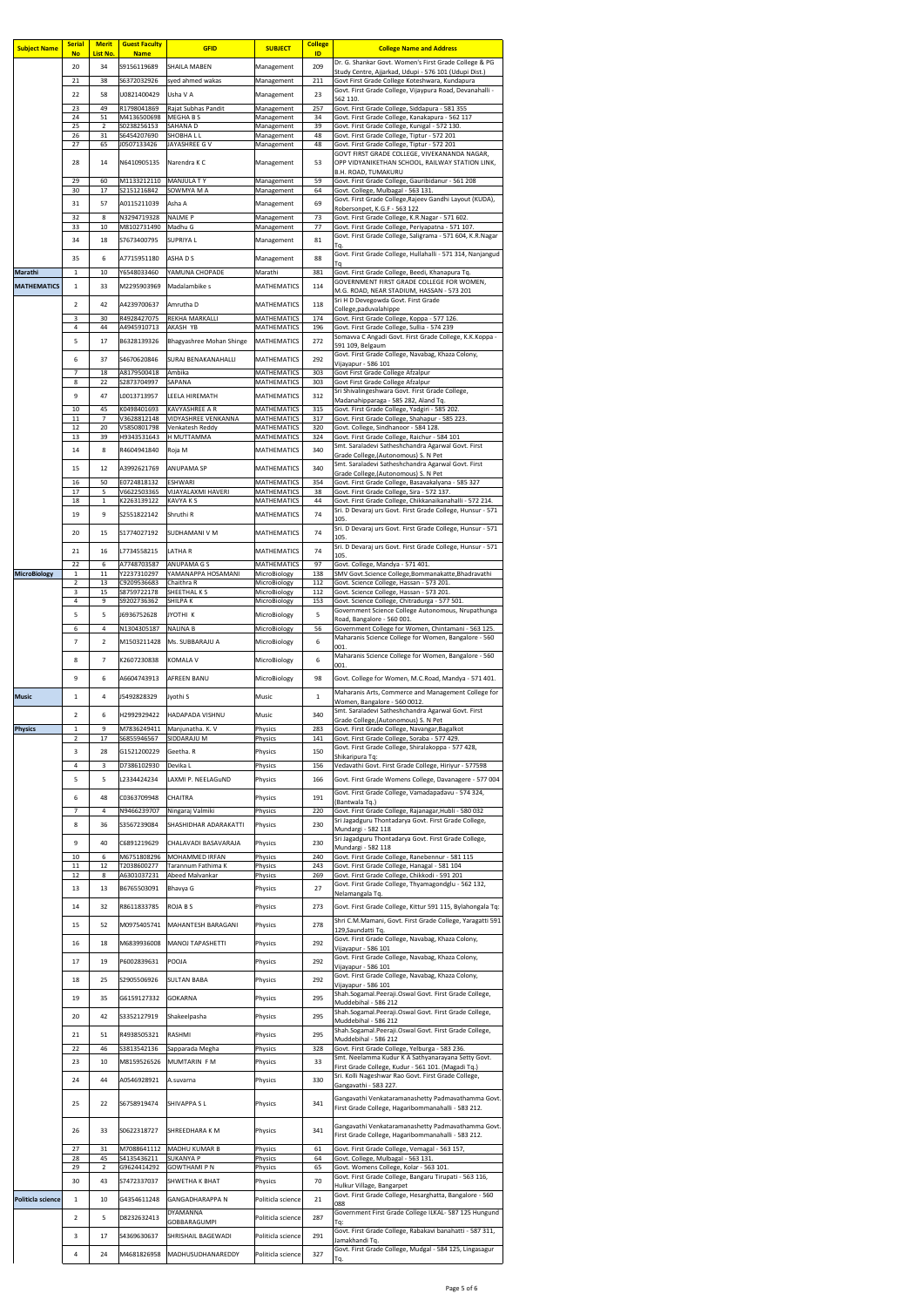| <b>Subject Name</b> | <b>Serial</b><br><b>No</b> | <b>Merit</b><br>List No. | <b>Guest Faculty</b><br><b>Name</b> | <b>GFID</b>                                   | <b>SUBJECT</b>                           | <b>College</b><br>ID | <b>College Name and Address</b>                                                                                 |
|---------------------|----------------------------|--------------------------|-------------------------------------|-----------------------------------------------|------------------------------------------|----------------------|-----------------------------------------------------------------------------------------------------------------|
|                     | 20                         | 34                       | S9156119689                         | <b>SHAILA MABEN</b>                           | Management                               | 209                  | Dr. G. Shankar Govt. Women's First Grade College & PG<br>Study Centre, Ajjarkad, Udupi - 576 101 (Udupi Dist.)  |
|                     | 21                         | 38                       | S6372032926                         | syed ahmed wakas                              | Management                               | 211                  | Govt First Grade College Koteshwara, Kundapura<br>Govt. First Grade College, Vijaypura Road, Devanahalli -      |
|                     | 22                         | 58                       | U0821400429                         | Usha V A                                      | Management                               | 23                   | 562 110.                                                                                                        |
|                     | 23<br>24                   | 49<br>51                 | R1798041869<br>M4136500698          | Rajat Subhas Pandit<br><b>MEGHABS</b>         | Management<br>Management                 | 257<br>34            | Govt. First Grade College, Siddapura - 581 355<br>Govt. First Grade College, Kanakapura - 562 117               |
|                     | 25<br>26                   | $\overline{2}$<br>31     | S0238256153<br>S6454207690          | <b>SAHANAD</b><br><b>SHOBHALL</b>             | Management<br>Management                 | 39<br>48             | Govt. First Grade College, Kunigal - 572 130.<br>Govt. First Grade College, Tiptur - 572 201                    |
|                     | 27                         | 65                       | J0507133426                         | JAYASHREE G V                                 | Management                               | 48                   | Govt. First Grade College, Tiptur - 572 201<br>GOVT FIRST GRADE COLLEGE, VIVEKANANDA NAGAR,                     |
|                     | 28                         | 14                       | N6410905135                         | Narendra K C                                  | Management                               | 53                   | OPP VIDYANIKETHAN SCHOOL, RAILWAY STATION LINK,                                                                 |
|                     | 29                         | 60                       | M1133212110                         | <b>MANJULA TY</b>                             | Management                               | 59                   | <b>B.H. ROAD, TUMAKURU</b><br>Govt. First Grade College, Gauribidanur - 561 208                                 |
|                     | 30                         | 17                       | S2151216842                         | SOWMYA M A                                    | Management                               | 64                   | Govt. College, Mulbagal - 563 131.<br>Govt. First Grade College, Rajeev Gandhi Layout (KUDA),                   |
|                     | 31                         | 57                       | A0115211039                         | Asha A                                        | Management                               | 69                   | Robersonpet, K.G.F - 563 122                                                                                    |
|                     | 32<br>33                   | 8<br>10                  | N3294719328<br>M8102731490          | <b>NALME P</b><br>Madhu G                     | Management<br>Management                 | 73<br>77             | Govt. First Grade College, K.R.Nagar - 571 602.<br>Govt. First Grade College, Periyapatna - 571 107.            |
|                     | 34                         | 18                       | S7673400795                         | <b>SUPRIYAL</b>                               | Management                               | 81                   | Govt. First Grade College, Saligrama - 571 604, K.R.Nagar<br>Тq.                                                |
|                     | 35                         | 6                        | A7715951180                         | <b>ASHADS</b>                                 | Management                               | 88                   | Govt. First Grade College, Hullahalli - 571 314, Nanjangud                                                      |
| <b>Marathi</b>      | $\mathbf{1}$               | 10                       | Y6548033460                         | YAMUNA CHOPADE                                | Marathi                                  | 381                  | Тq<br>Govt. First Grade College, Beedi, Khanapura Tq.                                                           |
| <b>MATHEMATICS</b>  | $\mathbf{1}$               | 33                       | M2295903969                         | Madalambike s                                 | <b>MATHEMATICS</b>                       | 114                  | GOVERNMENT FIRST GRADE COLLEGE FOR WOMEN,<br>M.G. ROAD, NEAR STADIUM, HASSAN - 573 201                          |
|                     | 2 <sup>1</sup>             | 42                       | A4239700637                         | Amrutha D                                     | <b>MATHEMATICS</b>                       | 118                  | Sri H D Devegowda Govt. First Grade<br>College, paduvalahippe                                                   |
|                     | 3                          | 30                       | R4928427075                         | <b>REKHA MARKALLI</b>                         | <b>MATHEMATICS</b>                       | 174                  | Govt. First Grade College, Koppa - 577 126.                                                                     |
|                     | 4<br>5                     | 44<br>17                 | A4945910713<br>B6328139326          | <b>AKASH YB</b><br>Bhagyashree Mohan Shinge   | <b>MATHEMATICS</b><br><b>MATHEMATICS</b> | 196<br>272           | Govt. First Grade College, Sullia - 574 239<br>Somavva C Angadi Govt. First Grade College, K.K.Koppa -          |
|                     |                            |                          |                                     |                                               |                                          |                      | 591 109, Belgaum<br>Govt. First Grade College, Navabag, Khaza Colony,                                           |
|                     | 6                          | 37                       | S4670620846                         | <b>SURAJ BENAKANAHALLI</b>                    | <b>MATHEMATICS</b>                       | 292                  | Vijayapur - 586 101                                                                                             |
|                     | 7<br>8                     | 18<br>22                 | A8179500418<br>S2873704997          | Ambika<br><b>SAPANA</b>                       | <b>MATHEMATICS</b><br><b>MATHEMATICS</b> | 303<br>303           | Govt First Grade College Afzalpur<br>Govt First Grade College Afzalpur                                          |
|                     | 9                          | 47                       | L0013713957                         | LEELA HIREMATH                                | <b>MATHEMATICS</b>                       | 312                  | Sri Shivalingeshwara Govt. First Grade College,<br>Madanahipparaga - 585 282, Aland Tq.                         |
|                     | 10                         | 45                       | K0498401693                         | <b>KAVYASHREE A R</b>                         | <b>MATHEMATICS</b>                       | 315                  | Govt. First Grade College, Yadgiri - 585 202.                                                                   |
|                     | 11<br>12                   | $7^{\circ}$<br>20        | V3628812148<br>V5850801798          | <b>VIDYASHREE VENKANNA</b><br>Venkatesh Reddy | <b>MATHEMATICS</b><br><b>MATHEMATICS</b> | 317<br>320           | Govt. First Grade College, Shahapur - 585 223.<br>Govt. College, Sindhanoor - 584 128.                          |
|                     | 13                         | 39                       | H9343531643                         | H MUTTAMMA                                    | <b>MATHEMATICS</b>                       | 324                  | Govt. First Grade College, Raichur - 584 101<br>Smt. Saraladevi Satheshchandra Agarwal Govt. First              |
|                     | 14                         | 8                        | R4604941840                         | Roja M                                        | <b>MATHEMATICS</b>                       | 340                  | Grade College, (Autonomous) S. N Pet                                                                            |
|                     | 15                         | 12                       | A3992621769                         | <b>ANUPAMA SP</b>                             | <b>MATHEMATICS</b>                       | 340                  | Smt. Saraladevi Satheshchandra Agarwal Govt. First<br>Grade College, (Autonomous) S. N Pet                      |
|                     | 16<br>17                   | 50<br>5                  | E0724818132<br>V6622503365          | <b>ESHWARI</b><br><b>VIJAYALAXMI HAVERI</b>   | <b>MATHEMATICS</b><br><b>MATHEMATICS</b> | 354<br>38            | Govt. First Grade College, Basavakalyana - 585 327<br>Govt. First Grade College, Sira - 572 137.                |
|                     | 18                         | $\mathbf{1}$             | K2263139122                         | <b>KAVYA K S</b>                              | <b>MATHEMATICS</b>                       | 44                   | Govt. First Grade College, Chikkanaikanahalli - 572 214.                                                        |
|                     | 19                         | 9                        | S2551822142                         | Shruthi R                                     | <b>MATHEMATICS</b>                       | 74                   | Sri. D Devaraj urs Govt. First Grade College, Hunsur - 571<br>105.                                              |
|                     | 20                         | 15                       | S1774027192                         | <b>SUDHAMANI V M</b>                          | <b>MATHEMATICS</b>                       | 74                   | Sri. D Devaraj urs Govt. First Grade College, Hunsur - 571<br>105.                                              |
|                     | 21                         | 16                       | L7734558215                         | <b>LATHAR</b>                                 | <b>MATHEMATICS</b>                       | 74                   | Sri. D Devaraj urs Govt. First Grade College, Hunsur - 571                                                      |
|                     | 22                         | 6                        | A7748703587                         | <b>ANUPAMA G S</b>                            | <b>MATHEMATICS</b>                       | 97                   | 105.<br>Govt. College, Mandya - 571 401.                                                                        |
| <b>MicroBiology</b> | 1<br>$\overline{2}$        | 11<br>13                 | Y2237310297<br>C9209536683          | YAMANAPPA HOSAMANI<br>Chaithra R              | MicroBiology<br>MicroBiology             | 138<br>112           | SMV Govt.Science College,Bommanakatte,Bhadravathi<br>Govt. Science College, Hassan - 573 201.                   |
|                     | 3                          | 15                       | S8759722178                         | SHEETHAL K S                                  | MicroBiology                             | 112                  | Govt. Science College, Hassan - 573 201.                                                                        |
|                     | 4                          | 9                        | S9202736362                         | <b>SHILPAK</b>                                | MicroBiology                             | 153                  | Govt. Science College, Chitradurga - 577 501.<br>Government Science College Autonomous, Nrupathunga             |
|                     | 5<br>6                     | 5<br>4                   | J6936752628<br>N1304305187          | JYOTHI K<br><b>NALINA B</b>                   | MicroBiology<br>MicroBiology             | 5<br>56              | Road, Bangalore - 560 001.<br>Government College for Women, Chintamani - 563 125.                               |
|                     | 7                          | $\overline{2}$           | M1503211428                         | Ms. SUBBARAJU A                               | MicroBiology                             | 6                    | Maharanis Science College for Women, Bangalore - 560                                                            |
|                     |                            |                          |                                     |                                               |                                          |                      | 001.<br>Maharanis Science College for Women, Bangalore - 560                                                    |
|                     | 8                          | $\overline{7}$           | K2607230838                         | KOMALA V                                      | MicroBiology                             | 6                    | 001.                                                                                                            |
|                     | 9                          | 6                        | A6604743913                         | <b>AFREEN BANU</b>                            | MicroBiology                             | 98                   | Govt. College for Women, M.C.Road, Mandya - 571 401.                                                            |
| <b>Music</b>        | $\mathbf{1}$               | 4                        | J5492828329                         | Jyothi S                                      | <b>Music</b>                             | $\mathbf{1}$         | Maharanis Arts, Commerce and Management College for<br>Women, Bangalore - 560 0012.                             |
|                     | $\overline{2}$             | 6                        | H2992929422                         | HADAPADA VISHNU                               | <b>Music</b>                             | 340                  | Smt. Saraladevi Satheshchandra Agarwal Govt. First                                                              |
| <b>Physics</b>      | $\mathbf{1}$               | 9                        | M7836249411                         | Manjunatha. K. V                              | Physics                                  | 283                  | Grade College, (Autonomous) S. N Pet<br>Govt. First Grade College, Navangar, Bagalkot                           |
|                     | 2                          | 17                       | S6855946567                         | <b>SIDDARAJU M</b>                            | Physics                                  | 141                  | Govt. First Grade College, Soraba - 577 429.<br>Govt. First Grade College, Shiralakoppa - 577 428,              |
|                     | 3                          | 28                       | G1521200229                         | Geetha. R                                     | <b>Physics</b>                           | 150                  | Shikaripura Tq:                                                                                                 |
|                     | 4<br>5                     | 3<br>5                   | D7386102930<br>L2334424234          | Devika L<br>LAXMI P. NEELAGUND                | Physics<br><b>Physics</b>                | 156<br>166           | Vedavathi Govt. First Grade College, Hiriyur - 577598<br>Govt. First Grade Womens College, Davanagere - 577 004 |
|                     |                            |                          |                                     |                                               |                                          |                      | Govt. First Grade College, Vamadapadavu - 574 324,                                                              |
|                     | 6                          | 48                       | C0363709948                         | <b>CHAITRA</b>                                | <b>Physics</b>                           | 191                  | (Bantwala Tq.)                                                                                                  |
|                     | $\overline{7}$             | $\overline{4}$           | N9466239707                         | Ningaraj Valmiki                              | Physics                                  | 220                  | Govt. First Grade College, Rajanagar, Hubli - 580 032<br>Sri Jagadguru Thontadarya Govt. First Grade College,   |
|                     | 8                          | 36                       | S3567239084                         | <b>SHASHIDHAR ADARAKATTI</b>                  | <b>Physics</b>                           | 230                  | Mundargi - 582 118<br>Sri Jagadguru Thontadarya Govt. First Grade College,                                      |
|                     | 9                          | 40                       | C6891219629                         | CHALAVADI BASAVARAJA                          | <b>Physics</b>                           | 230                  | Mundargi - 582 118                                                                                              |
|                     | 10<br>11                   | 6<br>12                  | M6751808296<br>T2038600277          | <b>MOHAMMED IRFAN</b><br>Tarannum Fathima K   | <b>Physics</b><br><b>Physics</b>         | 240<br>243           | Govt. First Grade College, Ranebennur - 581 115<br>Govt. First Grade College, Hanagal - 581 104                 |
|                     | 12                         | 8                        | A6301037231                         | Abeed Malvankar                               | Physics                                  | 269                  | Govt. First Grade College, Chikkodi - 591 201<br>Govt. First Grade College, Thyamagondglu - 562 132,            |
|                     | 13                         | 13                       | B6765503091                         | Bhavya G                                      | <b>Physics</b>                           | 27                   | Nelamangala Tq.                                                                                                 |
|                     | 14                         | 32                       | R8611833785                         | ROJA B S                                      | <b>Physics</b>                           | 273                  | Govt. First Grade College, Kittur 591 115, Bylahongala Tq:                                                      |
|                     | 15                         | 52                       | M0975405741                         | MAHANTESH BARAGANI                            | <b>Physics</b>                           | 278                  | Shri C.M.Mamani, Govt. First Grade College, Yaragatti 591<br>129, Saundatti Tq.                                 |
|                     | 16                         | 18                       | M6839936008                         | MANOJ TAPASHETTI                              | <b>Physics</b>                           | 292                  | Govt. First Grade College, Navabag, Khaza Colony,                                                               |
|                     |                            |                          |                                     |                                               |                                          |                      | Vijayapur - 586 101<br>Govt. First Grade College, Navabag, Khaza Colony,                                        |
|                     | 17                         | 19                       | P6002839631                         | POOJA                                         | <b>Physics</b>                           | 292                  | Vijayapur - 586 101<br>Govt. First Grade College, Navabag, Khaza Colony,                                        |
|                     | 18                         | 25                       | S2905506926                         | <b>SULTAN BABA</b>                            | <b>Physics</b>                           | 292                  | Vijayapur - 586 101                                                                                             |
|                     | 19                         | 35                       | G6159127332                         | <b>GOKARNA</b>                                | <b>Physics</b>                           | 295                  | Shah.Sogamal.Peeraji.Oswal Govt. First Grade College,<br>Muddebihal - 586 212                                   |
|                     | 20                         | 42                       | S3352127919                         | Shakeelpasha                                  | <b>Physics</b>                           | 295                  | Shah.Sogamal.Peeraji.Oswal Govt. First Grade College,<br>Muddebihal - 586 212                                   |
|                     | 21                         | 51                       | R4938505321                         | RASHMI                                        | <b>Physics</b>                           | 295                  | Shah.Sogamal.Peeraji.Oswal Govt. First Grade College,                                                           |
|                     | 22                         | 46                       | S3813542136                         | Sapparada Megha                               | Physics                                  | 328                  | Muddebihal - 586 212<br>Govt. First Grade College, Yelburga - 583 236.                                          |
|                     | 23                         | 10                       | M8159526526                         | MUMTARIN F M                                  | <b>Physics</b>                           | 33                   | Smt. Neelamma Kudur K A Sathyanarayana Setty Govt.                                                              |
|                     | 24                         | 44                       | A0546928921                         | A.suvarna                                     | <b>Physics</b>                           | 330                  | First Grade College, Kudur - 561 101. (Magadi Tq.)<br>Sri. Kolli Nageshwar Rao Govt. First Grade College,       |
|                     |                            |                          |                                     |                                               |                                          |                      | Gangavathi - 583 227.                                                                                           |
|                     | 25                         | 22                       | S6758919474                         | <b>SHIVAPPASL</b>                             | <b>Physics</b>                           | 341                  | Gangavathi Venkataramanashetty Padmavathamma Govt.<br>First Grade College, Hagaribommanahalli - 583 212.        |
|                     |                            |                          |                                     |                                               |                                          |                      |                                                                                                                 |
|                     | 26                         | 33                       | S0622318727                         | <b>SHREEDHARA K M</b>                         | <b>Physics</b>                           | 341                  | Gangavathi Venkataramanashetty Padmavathamma Govt.<br>First Grade College, Hagaribommanahalli - 583 212.        |
|                     | 27                         | 31                       | M7088641112                         | MADHU KUMAR B                                 | Physics                                  | 61                   | Govt. First Grade College, Vemagal - 563 157,                                                                   |
|                     | 28<br>29                   | 45<br>$\mathbf{2}$       | S4135436211<br>G9624414292          | <b>SUKANYA P</b><br><b>GOWTHAMI P N</b>       | <b>Physics</b><br><b>Physics</b>         | 64<br>65             | Govt. College, Mulbagal - 563 131.<br>Govt. Womens College, Kolar - 563 101.                                    |
|                     | 30                         | 43                       | S7472337037                         | <b>SHWETHA K BHAT</b>                         | Physics                                  | 70                   | Govt. First Grade College, Bangaru Tirupati - 563 116,                                                          |
| Politicla science   | 1                          | 10                       | G4354611248                         | GANGADHARAPPA N                               | Politicla science                        | 21                   | Hulkur Village, Bangarpet<br>Govt. First Grade College, Hesarghatta, Bangalore - 560                            |
|                     |                            |                          |                                     | <b>DYAMANNA</b>                               |                                          |                      | 088<br>Government First Grade College ILKAL- 587 125 Hungund                                                    |
|                     | $\overline{2}$             | 5                        | D8232632413                         | GOBBARAGUMPI                                  | Politicla science                        | 287                  | Tq:                                                                                                             |
|                     | 3                          | 17                       | S4369630637                         | <b>SHRISHAIL BAGEWADI</b>                     | Politicla science                        | 291                  | Govt. First Grade College, Rabakavi banahatti - 587 311,<br>Jamakhandi Tq.                                      |
|                     | 4                          | 24                       | M4681826958                         | MADHUSUDHANAREDDY                             | Politicla science                        | 327                  | Govt. First Grade College, Mudgal - 584 125, Lingasagur<br><b>Tq.</b>                                           |
|                     |                            |                          |                                     |                                               |                                          |                      |                                                                                                                 |